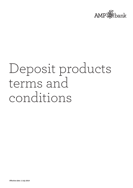

# Deposit products terms and conditions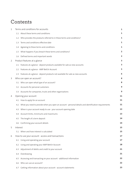# **Contents**

| 1              |          | Terms and conditions for accounts                                                                    | 1  |
|----------------|----------|------------------------------------------------------------------------------------------------------|----|
|                |          | 1.1 About these terms and conditions                                                                 | 1  |
|                |          | 1.2 Who provides the products referred to in these terms and conditions?                             | 1  |
|                | 1.3      | Terms and conditions effective date                                                                  | 1  |
|                | 1.4      | Agreeing to these terms and conditions                                                               | 1  |
|                | 1.5      | What happens if you breach these terms and conditions?                                               | 2  |
|                | 1.6      | Defined terms and important words                                                                    | 2  |
| $\overline{2}$ |          | Product features at a glance                                                                         | З  |
|                |          | 2.1 Features at a glance - deposit products available for sale as new accounts                       | З  |
|                | 2.2      | Features at a glance - AMP Bett3r Account                                                            | 5  |
|                | 2.3      | Features at a glance - deposit products not available for sale as new accounts                       |    |
| 3              |          | Who can open an account?                                                                             | 8  |
|                | 3.1      | Who can open what type of an account?                                                                | 8  |
|                |          | 3.2 Accounts for personal customers                                                                  | 9  |
|                | 3.3      | Accounts for companies, trusts and other organisations                                               | 9  |
| 4              |          | Opening your account                                                                                 | 11 |
|                |          | 4.1 How to apply for an account                                                                      | 11 |
|                | 4.2      | What you need to provide when you open an account - personal details and identification requirements | 11 |
|                | 4.3      | When is your account ready to use - your account opening date                                        | 13 |
|                | 4.4      | Account limits, minimums and maximums                                                                | 13 |
|                | 4.5      | The length of a term deposit                                                                         | 14 |
|                |          | 4.6 Confirming your account details                                                                  | 14 |
| 5              | Interest |                                                                                                      | 15 |
|                |          | 5.1 When and how interest is calculated                                                              | 15 |
| 6              |          | How to use your account - access and transactions                                                    | 17 |
|                | 6.1      | Using and operating your account                                                                     | 17 |
|                | 6.2      | Using and operating your AMP Bett3r Account                                                          | 18 |
|                | 6.3      | Adjustment of debits and credit to your account                                                      | 21 |
|                | 6.4      | Overdrawing                                                                                          | 21 |
|                | 6.5      | Accessing and transacting on your account - additional information                                   | 22 |
|                | 6.6      | Who can use an account?                                                                              | 22 |
|                | 6.7      | Getting information about your account - account statements                                          | 23 |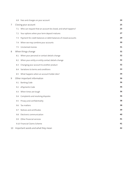|    |     | 6.8 Fees and charges on your account                             | 24 |
|----|-----|------------------------------------------------------------------|----|
| 7  |     | Closing your account                                             | 25 |
|    |     | 7.1 Who can request that an account be closed, and what happens? | 25 |
|    |     | 7.2 Your options when your term deposit matures                  | 27 |
|    | 7.3 | Payment for credit balances or debit balances of closed accounts | 29 |
|    | 7.4 | When we may combine your accounts                                | 30 |
|    | 7.5 | Unclaimed monies                                                 | 31 |
| 8  |     | When things change                                               | 32 |
|    |     | 8.1 When your personal or contact details change                 | 32 |
|    | 8.2 | When your entity or entity contact details change                | 32 |
|    | 8.3 | Changing your account to another product                         | 32 |
|    |     | 8.4 Variations to terms and conditions                           | 33 |
|    | 8.5 | What happens when an account holder dies?                        | 34 |
| 9  |     | Other important information                                      | 36 |
|    | 9.1 | <b>Banking Code</b>                                              | 36 |
|    |     | 9.2 ePayments Code                                               | 36 |
|    | 9.3 | When times are tough                                             | 36 |
|    | 9.4 | Complaints and resolving disputes                                | 36 |
|    | 9.5 | Privacy and confidentiality                                      | 38 |
|    | 9.6 | Tax matters                                                      | 38 |
|    | 9.7 | Notices and certificates                                         | 39 |
|    | 9.8 | Electronic communication                                         | 40 |
|    | 9.9 | Other financial services                                         | 41 |
|    |     | 9.10 Financial Claims Scheme                                     | 41 |
| 10 |     | Important words and what they mean                               | 42 |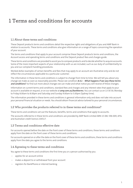# 1 Terms and conditions for accounts

# <span id="page-3-0"></span>1.1 About these terms and conditions

These Deposit products terms and conditions detail the respective rights and obligations of you and AMP Bank in relation to accounts. These terms and conditions also give information on a range of topics concerning the operation of your account.

The terms and conditions that apply to your account comprise these Deposit products terms and conditions, the Account access and operating terms and conditions and the Deposit product fees and charges guide.

These terms and conditions are provided to assist you to compare products and to decide whether to acquire accounts. Some of the more important aspects of your relationship with us are included, such as our duty of confidentiality to you and our complaint handling procedures.

Worked dollar examples of certain benefits and fees that may apply to an account are illustrative only and do not reflect the circumstances applicable to a particular customer.

The information in these terms and conditions is subject to change from time to time. We will tell you about any change we make as soon as reasonably possible. Please see condition **[8.4.1](#page-35-1) - What [happens](#page-35-1) if we vary these terms and [conditions?](#page-35-1)**. to find out more about changes we can make and what notice you will receive of these changes.

Information on current terms and conditions, standard fees and charges and any interest rates that apply to your accountis available on request, or on our website at **amp.com.au/bankterms**. You can contact us on 13 30 30, Monday to Friday 8.00am to 8.00pm and Saturday and Sunday 9.00am to 5.00pm (Sydney time).

<span id="page-3-1"></span>The information provided in these terms and conditions is general information only and does not take into account your personal financial situation or needs. You should obtain financial advice tailored to your personal circumstances.

# 1.2 Who provides the products referred to in these terms and conditions?

<span id="page-3-2"></span>These terms and conditions set out the features, benefits, terms and conditions that apply to accounts.

The accounts referred to in these terms and conditions are provided by AMP Bank Limited ABN 15 081 596 009, AFSL and Australian credit licence 234517.

# 1.3 Terms and conditions effective date

<span id="page-3-3"></span>For accounts opened before the date on the front cover of these terms and conditions, these terms and conditions apply from the date on the front cover of these terms and conditions.

For accounts opened on or after the date on the front cover of these terms and conditions, these terms and conditions apply from the date you agree to the terms and conditions.

# 1.4 Agreeing to these terms and conditions

You agree to these terms and conditions the first time you or a person authorised by you:

- applies for an account online
- makes a deposit to or withdrawal from your account
- registers for BankPhone or internet banking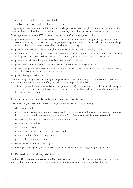- uses an access card or other access method
- sends a request to us via electronic communication.

By agreeing to these terms and conditions you acknowledge that we have the right to monitor and, where required by law or at our sole discretion, refuse to transmit or post any transactions or instructions made using an account.

By using your account on My AMP, the My AMP app or the AMP Bett3r App you agree that:

- you are responsible for all internet access, data download and other network charges arising from the use of your account (including any global roaming charges if you use your account outside Australia) and you acknowledge and agree that we have no responsibility or liability for those charges
- you need to access your account through a compatible mobile device and operating system
- if another person is liable to pay charges under the relevant mobile account SIM data plan account you acknowledge and agree that you have obtained that person's consent to your use of your account on that device
- you are responsible for the operation and maintenance of your device
- you will not authorise or permit any other person to use your account on your device
- to the extent permitted by law, you are responsible and liable for the actions of, and any transactions made by, any other person on your account on your device
- you will keep your device safe.

AMP Bank and you may also have other rights at general law. Those rights also apply to the accounts. These terms and conditions prevail to the extent of any inconsistency and as permitted by law.

<span id="page-4-0"></span>If you do not agree with these terms and conditions, you must notify us immediately. If you do so, we will close your account. In the case of accounts that have an access card and/or cheque book facility, you must also return these to us when we close your account.

# 1.5 What happens if you breach these terms and conditions?

If you breach any of these terms and conditions, we may do any or all of the following:

- close your account
- use any money that you have in another account with us to repay any amount by which your account is overdrawn (this is known as 'combining accounts'. See condition **[7.4](#page-32-0) - When we may [combine](#page-32-0) your accounts** .)
- cancel, delay, block or refuse to make any payment or transaction
- cancel any access method
- cancel any access card
- require the destruction and return of any access card
- require the return of unused cheque forms
- <span id="page-4-1"></span>place restrictions on your account
- refuse to open another account for you
- take legal action against you. You may be liable for our expenses in enforcing our rights against you.

# 1.6 Defined terms and important words

Condition **[10](#page-44-0) - [Important](#page-44-0) words and what they mean** contains a glossary of important words used in these terms and conditions. You should refer to this glossary to help you understand these terms and conditions.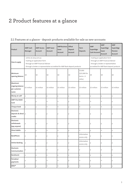# 2 Product features at a glance

# <span id="page-5-0"></span>2.1 Features at a glance - deposit products available for sale as new accounts

| Product                                            | <b>AMP Cash</b><br>Manager                                                                                                                                                                                                                                                                                                                | <b>AMP Access</b><br>Account | <b>AMP Saver</b><br>Account | <b>AMP Business</b><br>Saver<br>Account | Offset<br>Deposit<br>Account | <b>Term</b><br>Deposits                       | <b>AMP</b><br>SuperEdge<br><b>Cash Account</b> | <b>AMP</b><br>SuperEdge<br>Saver<br>Account | AMP<br>SuperEdge<br>Pension<br>Account |  |  |
|----------------------------------------------------|-------------------------------------------------------------------------------------------------------------------------------------------------------------------------------------------------------------------------------------------------------------------------------------------------------------------------------------------|------------------------------|-----------------------------|-----------------------------------------|------------------------------|-----------------------------------------------|------------------------------------------------|---------------------------------------------|----------------------------------------|--|--|
| How to apply                                       | - online at amp.com.au<br>- mailing an application form<br>- mailing an application form<br>- through an AMP Financial Adviser<br>- through an AMP Financial Adviser<br>- through a broker or representative<br>accredited for AMP Bank deposit products<br>- through a broker or representative accredited for AMP Bank deposit products |                              |                             |                                         |                              |                                               |                                                |                                             |                                        |  |  |
| Minimum<br>opening Balance                         | \$0                                                                                                                                                                                                                                                                                                                                       | \$0                          | \$0                         | \$0                                     | \$0                          | \$5,000<br>(\$25,000 for<br>terms <3<br>mths) | \$0                                            | \$0                                         | \$0                                    |  |  |
| Maximum<br>ongoing balance<br>per customer<br>name | \$5 million                                                                                                                                                                                                                                                                                                                               | \$5 million                  | \$5 million                 | \$5 million                             | \$5 million                  | \$5 million                                   | \$5 million                                    | \$5 million                                 | \$5 million                            |  |  |
| Money at-call?                                     | y                                                                                                                                                                                                                                                                                                                                         | у                            | у                           | у                                       | y                            | $\mathsf{n}$                                  | y                                              | y                                           | у                                      |  |  |
| AMP Visa Debit<br>Card                             | у                                                                                                                                                                                                                                                                                                                                         | y                            | $\mathsf{n}$                | n                                       | у                            | n                                             | n                                              | n                                           | у                                      |  |  |
| Cheque book                                        | y                                                                                                                                                                                                                                                                                                                                         | y                            | $\mathsf{n}$                | n                                       | y                            | n                                             | y                                              | $\boldsymbol{\mathsf{n}}$                   | у                                      |  |  |
| Electronic<br>deposits & direct y<br>credits       |                                                                                                                                                                                                                                                                                                                                           | y                            | у                           | у                                       |                              | n                                             | y                                              | y                                           | у                                      |  |  |
| Electronic<br>withdrawals<br>(pay anyone)          | у                                                                                                                                                                                                                                                                                                                                         | у                            | y                           | у                                       | У                            | n                                             | у                                              | у                                           | у                                      |  |  |
| Direct debits                                      | y                                                                                                                                                                                                                                                                                                                                         | y                            | $\mathsf{n}$                | n                                       | y                            | $\mathsf{n}$                                  | y                                              | $\boldsymbol{\mathsf{n}}$                   | y                                      |  |  |
| <b>BankPhone</b>                                   | y                                                                                                                                                                                                                                                                                                                                         | у                            | y                           | у                                       | у                            | Information<br>access only                    | у                                              | у                                           | у                                      |  |  |
| <b>Online Banking</b>                              | I y                                                                                                                                                                                                                                                                                                                                       | $\vee$                       | V                           | V                                       | ν                            | Information<br>access only                    | y                                              | V                                           | у                                      |  |  |
| Electronic<br>Communication                        | у                                                                                                                                                                                                                                                                                                                                         | y                            | y                           | у                                       | у                            | y                                             | y                                              | y                                           | у                                      |  |  |
| <b>BankAssist</b>                                  | y                                                                                                                                                                                                                                                                                                                                         | y                            | y                           | y                                       | y                            | y                                             | $\mathsf{y}$                                   | y                                           | у                                      |  |  |
| Periodical<br>payments                             | у                                                                                                                                                                                                                                                                                                                                         | y                            | $\mathsf{n}$                | n                                       | У                            | n                                             | y                                              | n                                           | у                                      |  |  |
| <b>BPAY®</b>                                       | y                                                                                                                                                                                                                                                                                                                                         | y                            | n                           | n                                       | y                            | $\mathsf{n}$                                  | $\mathsf{y}$                                   | n                                           | y                                      |  |  |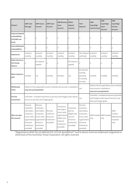| Product                                                      | <b>AMP Cash</b><br>Manager                                                                                                         | <b>AMP Access</b><br>Account                                                                                                                    | <b>AMP Saver</b><br>Account                      | <b>AMP Business</b><br>Saver<br>Account                                                                               | Offset<br>Deposit<br>Account                                                                | Term<br><b>Deposits</b>                                                                                                            | <b>AMP</b><br>SuperEdge<br><b>Cash Account</b>        | <b>AMP</b><br>SuperEdge<br>Saver<br>Account                                                 | <b>AMP</b><br>SuperEdge<br>Pension<br>Account           |
|--------------------------------------------------------------|------------------------------------------------------------------------------------------------------------------------------------|-------------------------------------------------------------------------------------------------------------------------------------------------|--------------------------------------------------|-----------------------------------------------------------------------------------------------------------------------|---------------------------------------------------------------------------------------------|------------------------------------------------------------------------------------------------------------------------------------|-------------------------------------------------------|---------------------------------------------------------------------------------------------|---------------------------------------------------------|
| Chq/cash deposit<br>at Bank@Post<br>(\$10,000 cash<br>limit) |                                                                                                                                    | y                                                                                                                                               | n                                                | n                                                                                                                     | y                                                                                           | n                                                                                                                                  | n                                                     | n                                                                                           | У                                                       |
| Cash withdrawal<br>at Bank@Post                              | У                                                                                                                                  | y                                                                                                                                               | $\mathsf{n}$                                     | n                                                                                                                     | y                                                                                           | n                                                                                                                                  | $\overline{D}$                                        | n                                                                                           | y                                                       |
| <b>Statements</b>                                            | at least 6<br>monthly                                                                                                              | at least 6<br>monthly                                                                                                                           | at least 6<br>monthly                            | at least 6<br>monthly                                                                                                 | at least 6<br>monthly                                                                       | Term Deposit at least 6<br>certificate                                                                                             | monthly                                               | at least 6<br>monthly                                                                       | at least 6<br>monthly                                   |
| Daily Interest on<br>full closing<br>balance                 | y                                                                                                                                  | No interest<br>payable                                                                                                                          | У                                                | y                                                                                                                     | No interest is<br>payable                                                                   | y                                                                                                                                  | у                                                     | у                                                                                           | у                                                       |
| When interest is<br>paid                                     | monthly                                                                                                                            | n/a                                                                                                                                             | monthly                                          | monthly                                                                                                               | n/a                                                                                         | At maturity,<br>monthly,<br>quarterly,<br>6-monthly,<br>annually                                                                   | monthly                                               | monthly                                                                                     | monthly                                                 |
| Withdrawal<br>limits                                         | amp.com.au/waystobank                                                                                                              |                                                                                                                                                 |                                                  | Details of limits applicable to access methods and accounts is available at                                           |                                                                                             | n/a                                                                                                                                | and accounts is available at<br>amp.com.au/waystobank | Details of limits applicable to access methods                                              |                                                         |
| Fee free<br>transactions                                     |                                                                                                                                    | Services as per Fees and Charges guide.                                                                                                         |                                                  | Unlimited - included transactions as per Fees and Charges Guide. Special                                              |                                                                                             | n/a                                                                                                                                | Fees and Charges guide.                               | Unlimited - included transactions as per Fees<br>and Charges Guide. Special Services as per |                                                         |
| Who can open<br>this account                                 | Personal<br>customers,<br>sole traders,<br>companies,<br>trusts, other<br>organisations<br>(Financial<br>Institutions<br>excluded) | Personal<br>customers,<br>sole traders,<br>companies,<br>trusts, other<br>organisations Institutions<br>(Financial<br>Institutions<br>excluded) | Personal<br>customers<br>(Financial<br>excluded) | Companies,<br>sole traders,<br>trusts, other<br>organisations<br>(SMSFs and<br>Financial<br>Institutions<br>excluded) | Customers<br>with an<br>eligible loan<br>account<br>(Financial<br>Institutions<br>excluded) | Personal<br>customers,<br>sole traders,<br>companies,<br>trusts, other<br>organisations<br>(Financial<br>Institutions<br>excluded) | SMSF trustees<br>only                                 | SMSF trustees<br>only                                                                       | SMSF<br>trustees.<br>SMSF pension<br>recipients<br>only |

®Registered to BPAY Pty Ltd ABN 69 079 137518, Bank@Post™ and its device mark are trademarks (registered or otherwise) of the Australian Postal Corporation. All rights reserved.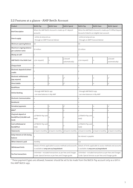| Product                                                   | Bett3r Pay                                                   | <b>Bett3r Save</b>                                                                                                  | Bett3r Spend       | Bett3r Pay                                                                                                          | <b>Bett3r Save</b> | Bett3r Spend                |  |
|-----------------------------------------------------------|--------------------------------------------------------------|---------------------------------------------------------------------------------------------------------------------|--------------------|---------------------------------------------------------------------------------------------------------------------|--------------------|-----------------------------|--|
| <b>Brief Description</b>                                  | accounts                                                     | When the AMP Bett3r Account is made up of 3 deposit                                                                 |                    | When the AMP Bett3r Account is made up of 3 Offset Deposit<br>Accounts linked to an eligible loan account.          |                    |                             |  |
| How to apply                                              | - online at amp.com.au<br>- through an AMP Financial Adviser |                                                                                                                     |                    | - online at amp.com.au<br>- through an AMP Financial Adviser                                                        |                    |                             |  |
| Minimum opening Balance                                   | \$0                                                          |                                                                                                                     |                    | \$0                                                                                                                 |                    |                             |  |
| Maximum ongoing balance<br>per customer name              | \$5 million                                                  |                                                                                                                     |                    | \$5 million                                                                                                         |                    |                             |  |
| Money at-call?                                            | у                                                            |                                                                                                                     |                    | y                                                                                                                   |                    |                             |  |
| AMP Bett3r Visa Debit Card                                | y (on request)                                               | y (issued<br>n<br>automatically)                                                                                    |                    | y (on request)                                                                                                      | n                  | y (issued<br>automatically) |  |
| Cheque book                                               | n.                                                           |                                                                                                                     |                    | $\mathsf{n}$                                                                                                        |                    |                             |  |
| Electronic deposits & direct<br>credits                   | у                                                            |                                                                                                                     |                    | y                                                                                                                   |                    |                             |  |
| <b>Electronic withdrawals</b><br>(pay anyone)             | У                                                            | n                                                                                                                   | $y^*$              | y                                                                                                                   | n                  | $v^*$                       |  |
| Direct debits                                             | у                                                            | $y^*$<br>n                                                                                                          |                    | y                                                                                                                   | n                  | $v^*$                       |  |
| <b>BankPhone</b>                                          | n                                                            |                                                                                                                     |                    | n                                                                                                                   |                    |                             |  |
| <b>Online Banking</b>                                     | - through AMP Bett3r app<br>- can view balances in My AMP    |                                                                                                                     |                    | - through AMP Bett3r app<br>- can view balances in My AMP                                                           |                    |                             |  |
| <b>Electronic Communication</b>                           | y                                                            |                                                                                                                     |                    | y                                                                                                                   |                    |                             |  |
| <b>BankAssist</b>                                         | n                                                            |                                                                                                                     |                    | $\mathsf{n}$                                                                                                        |                    |                             |  |
| Periodical payments                                       | y                                                            | n                                                                                                                   | $y^*$              | y                                                                                                                   | n                  | $y^*$                       |  |
| <b>BPAY®</b>                                              | у                                                            | n                                                                                                                   | y                  | y                                                                                                                   | n                  | У                           |  |
| Chq/cash deposit at<br>Bank@Post (\$10,000 cash<br>limit) | y (if Bett3r Pay card<br>held)                               | n                                                                                                                   | у                  | y (if Bett3r Pay card<br>held)                                                                                      | n                  | у                           |  |
| Cash withdrawal at<br>Bank@Post                           | y (if Bett3r Pay card<br>held)                               | n                                                                                                                   | у                  | y (if Bett3r Pay card<br>held)                                                                                      | n                  | у                           |  |
| <b>Statements</b>                                         | at least 6 monthly                                           | at least 6 monthly                                                                                                  | at least 6 monthly | at least 6 monthly                                                                                                  | at least 6 monthly | at least 6 monthly          |  |
| Daily Interest on full closing<br>balance                 | у                                                            |                                                                                                                     |                    | No interest is payable                                                                                              |                    |                             |  |
| When interest is paid                                     | monthly                                                      |                                                                                                                     |                    | n/a                                                                                                                 |                    |                             |  |
| Withdrawal limits                                         |                                                              | Details of limits applicable to access methods and accounts<br>is available at amp.com.au/waystobank                |                    | Details of limits applicable to access methods and accounts<br>is available at amp.com.au/waystobank                |                    |                             |  |
| Fee free transactions                                     |                                                              | Unlimited - included transactions as per Fees and Charges<br>Guide. Special Services as per Fees and Charges guide. |                    | Unlimited - included transactions as per Fees and Charges<br>Guide. Special Services as per Fees and Charges guide. |                    |                             |  |

# <span id="page-7-0"></span>2.2 Features at a glance - AMP Bett3r Account

\* These payment types are allowed, however should be set to be made from the Bett3r Pay account only as a bill in the AMP Bett3r app.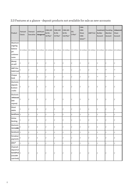| Product                                                          | Transact<br>Classic     | Transact<br>Executive | eASYCash<br>Management                                                                                                                                                                | <b>CMA AIO</b><br>& ESL<br>\$0 Plan* | <b>CMA AIO</b><br>& ESL<br>\$5 Plan* | <b>CMA AIO</b><br>$&$ ESL<br>\$10 Plan* | ESL<br>S Plan* | CMA<br>CMA<br>Share<br>CMA<br>Select** | <b>AMP First</b> | Investment Founding<br>Builder<br>Account | Member<br>Account         | Achievement<br>Share<br>Account |
|------------------------------------------------------------------|-------------------------|-----------------------|---------------------------------------------------------------------------------------------------------------------------------------------------------------------------------------|--------------------------------------|--------------------------------------|-----------------------------------------|----------------|----------------------------------------|------------------|-------------------------------------------|---------------------------|---------------------------------|
| Maximum<br>ongoing<br>balance<br>per<br>customer<br>name         | \$5 million \$5 million |                       | $\frac{1}{5}$ \$5 million $\frac{1}{5}$ \$5 million $\frac{1}{5}$ \$5 million $\frac{1}{5}$ \$5 million $\frac{1}{5}$ \$5 million $\frac{1}{5}$ \$5 million $\frac{1}{5}$ \$5 million |                                      |                                      |                                         |                |                                        |                  |                                           | $$5$ million $$5$ million |                                 |
| Money<br>at-call?                                                | у                       | у                     | у                                                                                                                                                                                     | у                                    | у                                    | у                                       | y              | у                                      | y                | у                                         | у                         | y                               |
| <b>AMP Visa</b><br>Debit Card                                    |                         | у                     | У                                                                                                                                                                                     | y                                    | y                                    | у                                       | y              | у                                      | y                | n                                         | $\mathsf{n}$              | n                               |
| Cheque<br>book                                                   | у                       | у                     | y                                                                                                                                                                                     | y                                    | у                                    | у                                       | y              | у                                      | y                | $\sf n$                                   | $\mathsf{n}$              | n                               |
| Electronic<br>deposits<br>& direct<br>credits                    | у                       | у                     | у                                                                                                                                                                                     | y                                    | y                                    | у                                       | $\mathsf{y}$   | $\mathsf{y}$                           | y                | у                                         | lУ                        | y                               |
| Electronic<br>withdrawals<br>(pay<br>anyone)                     | $\mathsf y$             | y                     | y                                                                                                                                                                                     | y                                    | y                                    | y                                       | y              | $\mathsf{y}$                           | y                | у                                         | lУ                        | y                               |
| Direct<br>debits                                                 | y                       | y                     | у                                                                                                                                                                                     | y                                    | y                                    | у                                       | y              | у                                      | y                | y                                         | у                         | y                               |
| BankPhone y                                                      |                         | у                     | у                                                                                                                                                                                     | у                                    | у                                    | у                                       | y              | y                                      | $\mathsf y$      | у                                         | у                         | y                               |
| Online<br><b>Banking</b>                                         | у                       | у                     | y                                                                                                                                                                                     | y                                    | y                                    | y                                       | y              | lу                                     | y                | y                                         | lУ                        | y                               |
| <b>Electronic</b><br>Communication                               | у                       | у                     | у                                                                                                                                                                                     | y                                    | y                                    | у                                       | y              | у                                      | у                | у                                         | у                         | y                               |
| BankAssist <sub>y</sub>                                          |                         | y                     | y                                                                                                                                                                                     | y                                    | y                                    | y                                       | y              | $\mathsf{y}$                           | $\mathsf{y}$     | y                                         | y                         | y                               |
| Periodical<br>payments                                           |                         | y                     | y                                                                                                                                                                                     | у                                    | y                                    | у                                       | y              | $\mathsf{y}$                           | $\mathsf{y}$     | y                                         | y                         | y                               |
| <b>BPAY®</b>                                                     | $\mathsf{y}$            | y                     | y                                                                                                                                                                                     | $\mathsf{y}$                         | y                                    | y                                       | y              | y                                      | $\mathsf{y}$     | y                                         | y                         | y                               |
| Chq/cash<br>deposit at<br>Bank@Post y<br>(510,000<br>cash limit) |                         | y                     | У                                                                                                                                                                                     | y                                    | y                                    | y                                       | lУ             | lу                                     | y                | y                                         |                           | y                               |

# <span id="page-8-0"></span>2.3 Features at a glance - deposit products not available for sale as new accounts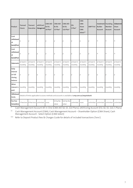| Product                                            | <b>Transact</b><br>Classic | <b>Transact</b><br>Executive                                                                      | eASYCash<br>Management | <b>CMA AIO</b><br>& ESL<br>\$0 Plan* | <b>CMA AIO</b><br>& ESL<br>\$5 Plan* | <b>CMA AIO</b><br>& ESL<br>\$10 Plan* | <b>ESL</b><br>S Plan* | <b>CMA</b><br><b>CMA</b><br>Share<br><b>CMA</b><br>Select** | <b>AMP First</b>      | Investment   Founding<br><b>Builder</b><br>Account | Member<br>Account     | Achievement<br>Share<br>Account |
|----------------------------------------------------|----------------------------|---------------------------------------------------------------------------------------------------|------------------------|--------------------------------------|--------------------------------------|---------------------------------------|-----------------------|-------------------------------------------------------------|-----------------------|----------------------------------------------------|-----------------------|---------------------------------|
| Cash<br>withdrawal<br>at<br>Bank@Post              | у                          | y                                                                                                 | y                      | y                                    | y                                    | y                                     | l y                   | lу                                                          | y                     | n                                                  | n                     | n                               |
| Cash<br>withdrawal<br>at<br>Bank@Post              | У                          | y                                                                                                 | y                      | y                                    | y                                    | y                                     | y                     | lу                                                          | y                     | n                                                  | n                     | n                               |
| <b>Statements</b>                                  | at least 6<br>monthly      | at least 6<br>monthly                                                                             | at least 6<br>monthly  | at least 6<br>monthly                | at least 6<br>monthly                | at least 6<br>monthly                 | at least 6<br>monthly | at least 6<br>monthly                                       | at least 6<br>monthly | at least 6<br>monthly                              | at least 6<br>monthly | at least 6<br>monthly           |
| Daily<br>Interest<br>on full<br>closing<br>balance | y                          | lУ                                                                                                | y                      | y                                    | y                                    | y                                     | y                     | lу                                                          | у                     | y                                                  | y                     | y                               |
| When<br>interest is<br>paid                        | monthly                    | monthly                                                                                           | monthly                | monthly                              | monthly                              | monthly                               | monthly               | monthly                                                     | monthly               | monthly                                            | monthly               | monthly                         |
| Withdrawal<br>limits                               |                            | Details of limits applicable to access methods and accounts is available at amp.com.au/waystobank |                        |                                      |                                      |                                       |                       |                                                             |                       |                                                    |                       |                                 |
| Fee free<br>transactions                           |                            | 5 free txns   8 free txns                                                                         | unlimited              | none                                 | \$5 by fee<br>value                  | \$10 by fee<br>value                  | unlimited             | none                                                        | unlimited             | unlimited                                          | unlimited             | unlimited                       |

\* Cash Management Account All-in-One (CMA AIO \$0, \$5, \$10 Plans), eASYLiving Account (ESL \$0, \$5, \$10, S Plans)

\*\* Cash Management Account (CMA), Cash Management Account – Shareholder Option (CMA Share), Cash Management Account - Select Option (CMA Select)

\*\*\* Refer to Deposit Product fees & Charges Guide for details of included transactions ('txns').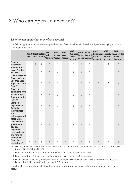# 3 Who can open an account?

# <span id="page-10-0"></span>3.1 Who can open what type of an account?

The following persons and entities can open the types of account shown in the table, subject to satisfying all account opening requirements.

|                                                                                                                                                               | Pay | Bett3rBett3rBett3r | Save Spend       | <b>AMP</b><br>Cash<br>ManagerAccountAccoun | <b>AMP</b><br><b>Access Saver</b> | <b>AMP</b>                | <b>AMP</b><br><b>Business</b><br>Term<br>Saver<br>Account | <b>Retail</b> | <b>Offset</b><br><b>Deposit</b><br><b>DepositAccount</b> | <b>AMP</b><br>Cash<br>Account | <b>AMP</b><br><b>Pension</b><br><b>Account</b> | <b>AMP</b><br>SuperEdgeSuperEdgeSuperEdge<br><b>Saver</b><br><b>Account</b> |
|---------------------------------------------------------------------------------------------------------------------------------------------------------------|-----|--------------------|------------------|--------------------------------------------|-----------------------------------|---------------------------|-----------------------------------------------------------|---------------|----------------------------------------------------------|-------------------------------|------------------------------------------------|-----------------------------------------------------------------------------|
| Personal<br>customers                                                                                                                                         | y   | y                  | y                | y                                          | y                                 | y                         | $n^{(i)}$                                                 | y             | y                                                        | n                             | y                                              | n                                                                           |
| Sole traders<br>(using 'trading<br>as' in the<br><b>Customer Name)</b>                                                                                        | n   | n                  | $\boldsymbol{n}$ | y                                          | y                                 | $\boldsymbol{\mathsf{n}}$ | y                                                         | y             | y                                                        | n                             | n                                              | n                                                                           |
| Trustees (for a<br>Self-Managed<br>Superannuation<br>Fund) <sup>(ii)</sup>                                                                                    | n   | n                  | n                | y                                          | y                                 | n                         | n                                                         | y             | y                                                        | y                             | y                                              | y                                                                           |
| <b>Trustees</b><br>(excluding for a<br>Self-Managed<br>Superannuation<br>Fund) <sup>(iii)</sup>                                                               | n   | n                  | n                | y                                          | y                                 | n                         | y                                                         | y             | y                                                        | n                             | n                                              | n                                                                           |
| Companies<br>registered in<br><b>Australia</b>                                                                                                                | n   | n                  | n                | y                                          | y                                 | n                         | y                                                         | y             | y                                                        | n                             | $\mathsf{n}$                                   | n                                                                           |
| Incorporated<br>and<br>unincorporated<br>associations,<br>partnerships,<br>government<br>bodies,<br>registered<br>co-operatives,<br>and foreign<br>companies. | n   | n                  | n                | n                                          | y                                 | n                         | y                                                         | y             | y                                                        | n                             | n                                              | n                                                                           |
| Financial<br>Institutions(iv)                                                                                                                                 | n   | n                  | n                | n                                          | n                                 | n                         | n                                                         | n             | n                                                        | n                             | n                                              | n                                                                           |

(i) We may offer the AMP Business Saver Account to certain personal customers for personal use as part of special promotions from time to time

(ii) Refer to condition 3.3 - Accounts for Companies, Trusts, and other Organisations

(iii) Refer to condition 3.3 - Accounts for Companies, Trusts, and other Organisations

(iv) Financial Institutions may only apply for an AMP Notice Account Financial or AMP 6-month Notice Account Financial. Refer to the AMP Notice Account PDS for details.

From time to time and at our sole discretion, we may allow any person or entity to apply for and hold any type of account.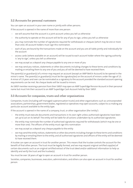# <span id="page-11-0"></span>3.2 Accounts for personal customers

You can open an account in your own name or jointly with other persons.

If the account is opened in the name of more than one person:

- we will assume that the account is a joint account unless you tell us otherwise
- the authority to operate on the account will be for any of you to sign, unless you tell us otherwise
- you may nominate the number of signatories required for withdrawals or cheques (which may be one or more than one). All account holders must sign this nomination.
- each of you are bound by the transactions made on the account and you are all liable jointly and individually for the account
- access cards (where available on an account) will be issued to each account holder where the signing authority is 'any to sign', unless you tell us otherwise
- we may accept as a deposit any cheque payable to any one or more of you
- we may send you notices, statements or other documents including changes to these terms and conditions by mailing or emailing them to any one of you and you all will be deemed to have received them.

The parent(s) or guardian(s) of a minor may request an account (except an AMP Bett3r Account) to be opened in the minor's name. The parent(s) or guardian(s) must be the signatory(ies) on the account of minors under the age of 13. A minor of 13 years and over can be nominated as a signatory to the account provided the standard account opening requirements can be met. No cheque books will be issued to minors.

<span id="page-11-1"></span>An SMSF memberreceiving a pension from their SMSF may open an AMP SuperEdge Pension Accountin their personal name but must link their account to an AMP SuperEdge Cash Account held by their SMSF.

# 3.3 Accounts for companies, trusts and other organisations

Companies, trusts (including self-managed superannuation trusts) and other organisations such as unincorporated associations, partnerships, government bodies, registered co-operatives may open accounts, subject to us making any particular account available to the entity type.

If the account is opened in the name of a company, trust, or other organisation (the 'entity'):

- the entity must execute documents and transactions in its own right unless authorised signatories have been set up to act on its behalf. The entity will be liable for all actions undertaken by its authorised signatories
- the entity may nominate the number of authorised signatories required for withdrawals (which may be one or more than one). The officers of the entity must sign this nomination
- we may accept as a deposit any cheque payable to the entity
- we may send the entity notices, statements or other documents including changes to these terms and conditions by mailing or emailing them to the entity, and all authorised signatories and officers of the entity will be deemed to have received them.

A trustee can open an account in trust for another person. This means that the trustee controls the account for the benefit of that other person. The trust must be legally formed, and we may request original certified copy(ies) of certain documents such as an original certified extract of the trust deed and/or additional information to help us identify and verify the trust and the trustee(s).

You must be over 18 years of age to open an account in trust for another person.

Societies, companies, businesses, executors, administrators, andothers can also open an account in trust for another person.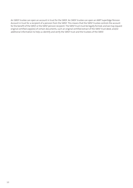An SMSF trustee can open an account in trust for the SMSF. An SMSF trustee can open an AMP SuperEdge Pension Account in trust for a recipient of a pension from the SMSF. This means that the SMSF trustee controls the account forthe benefit ofthe SMSF orthe SMSF pension recipient. The SMSF trust must be legally formed, and we may request original certified copy(ies) of certain documents, such an original certified extract of the SMSF trust deed, and/or additional information to help us identify and verify the SMSF trust and the trustees of the SMSF.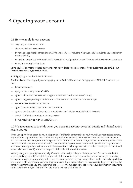# 4 Opening your account

# <span id="page-13-0"></span>4.1 How to apply for an account

You may apply to open an account:

- via our website at **amp.com.au**
- by making an application through an AMP financial adviser(includingwhere your adviser submits your application on your behalf)
- by making an application through an AMP accredited mortgage broker or AMP representative for deposit products
- by mailing an application to us.

Some application methods listed above may not be available on all accounts or for all customers. See condition **[2](#page-5-0) - Product features at <sup>a</sup> [glance](#page-5-0)** for details.

# 4.1.1 Applying for an AMP Bett3r Account

Additional conditions apply if you are applying for an AMP Bett3r Account. To apply for an AMP Bett3r Account you must:

- be an individual/s
- apply online at **amp.com.au/bett3r**
- agree to download the AMP Bett3r app on a device that will allow use of the app
- agree to register your My AMP details and AMP Bett3r Account in the AMP Bett3r app
- keep the AMP Bett3r app up to date
- agree to be bound by these terms and conditions
- agree to receive notifications and statements electronically for your AMP Bett3r Account
- <span id="page-13-1"></span>– accept that joint account access is 'any to sign'
- have a mobile device with at least 3G access.

# 4.2 What you need to provide when you open an account - personal details and identification requirements

When you apply for an account, you must provide identification information about yourself, any connected parties, any additional signatories to the account and any additional people to whom you wish to provide access to your account. We will then verify some or all aspects of that identification information, by either documentary or electronic methods. We also require identification information about any connected parties and any additional signatories or additional people you later ask us to add to the account or to whom you wish to provide access to your account, and we will also need to verify some or all aspects of that identification information.

We may verify your identity electronically. If we do, we will ask you for your details (such as full name, residential address, and date of birth) and details of your identification documents. You authorise and instruct us to send or otherwise provide this information will be passed to one or more external organisations to electronically match this information with identification data on their databases. These organisations will assess and advise us whether all or some of the information you provided match their records. We may require you to provide your identification documents so that we can verify your identity if we are unable to do so electronically.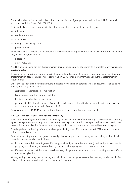These external organisations will collect, store, use and dispose of your personal and confidential information in accordance with the Privacy Act 1988 (Cth).

For individuals, you need to provide identification information personal details, such as your:

- full name
- residential address
- date of birth
- foreign tax residency status
- phone number.

Where we need you to provide original identification documents or original certified copies of identification documents they may include, for example:

- a passport
- a driver's licence.

A full list of people who can certify identification documents or extracts of documents is available at [www.amp.com.](https://www.amp.com.au/identification) **[au/identification](https://www.amp.com.au/identification)**

If you are not an individual or cannot provide these details and documents, we may require you to provide other forms of identification documentation. Please contact us on 13 30 30 for more information about these identification requirements,

Other entities such as companies and trusts must also provide original certified copies of documentation to help us identify and verify them, such as:

- certificate of incorporation or registration
- licence record from the relevant regulator
- trust deed or extract of the trust deeds
- personal identification documents of connected parties who are individuals for example, individual trustees, directors, beneficial owners etc. (as applicable).

Please contact us on **13 30 30** for more information about these identification requirements.

#### 4.2.1 What happens if we cannot verify your identity?

If we cannot identify you and/or verify your identity, or identify and/or verify the identity of any connected party, any signatory on your account or any person to whom access to your account has been provided, to our satisfaction, we may decline your application for an account, or may restrict, block or close your account without notice to you.

Providing false or misleading information about your identity is an offence under the AML/CTF laws and is a breach of the terms and conditions.

By opening, or using any account, you acknowledge that we may, acting reasonably, decide to delay, restrict, block or refuse to open any or all accounts if we:

- have not been able to identify you and/or verify youridentity, oridentify and/or verify the identity of any connected party, any signatory on your account or any person to whom you grant access to your account
- if we are concerned that the request may breach any obligation, or cause us to commit or participate in an offence under any legislation.

We may, acting reasonably, decide to delay, restrict, block, refuse to open an account or close any or all accounts if we believe that you have provided false or misleading information.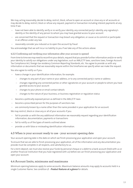We may, acting reasonably, decide to delay, restrict, block, refuse to open an account or close any or all accounts or may decide to delay, restrict, block or refuse any request, payment or transaction including interest payments at any time if we:

- have not been able to identify, verify or re-verify your identity, any connected party's identity, any signatory's identity or the identity of any person to whom you may have granted access to your account
- are concerned that the request or transaction may breach any obligation, or cause us to commit or participate in an offence under any law
- reasonably consider you induced us to open the account by fraud

You acknowledge that we will incur no liability to you if we take any of the actions above.

#### 4.2.2 Confirming and verifying your information after your account is opened

From time to time we may need to reconfirm your details, request that you provide further information and/or re-verify your identity to satisfy our obligations under any legislation, such as AML/CTF laws, sanctions laws, Foreign Account Tax Compliance Act, foreign tax residency Common Reporting Standards, etc. You agree to provide us with any information or documents that we reasonably require within the timeframe we specify when we make the request.

You also agree to notify us if you:

- have a change in your identification information, for example:
	- changes to any part of your name or your address, or to any connected party's name or address
	- changes regarding any connected parties or other signatories on your account or people to whom you have granted access to your account
	- changes to your phone or email contact details
	- changes to the nature of your business, or business registration or regulation status
- become a politically exposed person as defined in the AML/CTF laws
- become a proscribed person for the purposes of sanctions law
- are commonly known by a name other than the name provided in your application for an account.

We may restrict, block or close any or all of your accounts if you:

- fail to provide us with the any additional information we reasonably request regarding your identification information, documentation, payments or transactions
- <span id="page-15-0"></span>fail to notify us of the types of events outlined above
- provide us with false or misleading identification information.

# 4.3 When is your account ready to use - your account opening date

Your account opening date is the date on which we finish processing your application and open your account.

<span id="page-15-1"></span>To ensure that we are able to finish processing your application, all of the information and any documentation you provide must be complete in all respects, and satisfactory to us.

For a term deposit, we must also receive your funds by personal cheque or a debit to a bank account (held with us or another financial institution that you have registered with us) before we can finish processing your application and open your account.

# 4.4 Account limits, minimums and maximums

Minimum opening balances apply to some accounts. Maximum balance amounts may apply to accounts held in a single Customer Name. See condition **[2](#page-5-0) - Product features at <sup>a</sup> [glance](#page-5-0)** for details.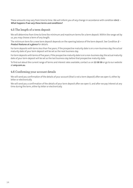These amounts may vary from time to time. We will inform you of any change in accordance with condition **[8.4.1](#page-35-1) - What happens if we vary these terms and [conditions?](#page-35-1)**.

# <span id="page-16-0"></span>4.5 The length of a term deposit

We will determine from time to time the minimum and maximum terms for a term deposit. Within the range set by us, you may choose a term of any length.

The minimum term for a new term deposit depends on the opening balance of the term deposit. See Condition **[2](#page-5-0) - Product features at <sup>a</sup> [glance](#page-5-0)** for details.

For term deposits with terms less than five years, if the prospective maturity date is on a non-business day, the actual maturity date of your term deposit will be set as the next business day.

For term deposits with terms of five years, if the prospective maturity date is on a non-business day, the actual maturity date of your term deposit will be set as the last business day before that prospective maturity date.

<span id="page-16-1"></span>To find out about the current range of terms and interest rates available, contact us on **13 30 30** or go to our website at **amp.com.au**.

# 4.6 Confirming your account details

We will send you confirmation of the details of your account (that is not a term deposit) after we open it, either by letter or electronically.

We will send you a confirmation of the details of your term deposit after we open it, and after we pay interest at any time during the term, either by letter or electronically.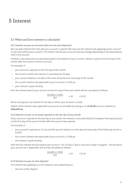# 5 Interest

# <span id="page-17-0"></span>5.1 When and how interest is calculated

#### 5.1.1 Interest we pay on accounts (that are not term deposits)

We calculate interest from the date your account is opened. We may vary the interest rate applying to your account at any time without your consent. The interest rate for your account may also changedepending on thedaily balance held in the account.

Interest is calculated and accrued daily based on the balance of your account. Interest is paid on the first day of the month after the month in which it accrues.

For example, if:

- your account is opened on the first day of the month
- the month in which the interest is calculated has 30 days
- your account balance is \$1,000 at the close of business for every day of the month
- the current interest rate applicable to your account is 2.50% pa
- your interest is paid monthly,

then the interest paid to your account on the first day of the next month will be calculated as follows:

 $\frac{(51,000 \times 2.50\%)}{2.50 \times 30}$   $\times 30 = 52.05$ 365

We do not pay you any interest for the day on which your account is closed.

Details of the interest rates applicable to accounts are available by calling us on **13 30 30** or on our website at **amp.com.au**.

#### 5.1.2 Interest we pay on accounts opened on the last day of any month

If your account is opened on the last day of any month, the interest is calculated daily (including for that day) and paid on the first day of the second month after the account was opened.

For example, if :

- your account is opened on 31 July and the account balance on that day and every day of the following month is \$1,000
- the current interest rate applicable to your account is 2.50% pa
- the interest is paid monthly,

then the first interest amount paid to your account - for 32 days (1 day in July and 31 days in August) - will be paid to your account on 1 September, and will be calculated as follows:

$$
\frac{(\$1,000 \times 2.50\%)}{365} \qquad \qquad \times 32 = \$2.19
$$

# 5.1.3 Interest we pay on term deposits

The interest rate applying on a term deposit varies depending on:

– the term of the deposit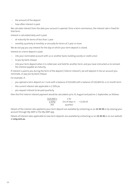- the amount of the deposit
- how often interest is paid.

We calculate interest from the date your account is opened. Once a term commences, the interest rate is fixed for that term.

Interest is calculated daily and is paid:

- at maturity for terms of less than 1 year
- monthly, quarterly, 6-monthly, or annually for terms of 1 year or more

We do not pay you any interest for the day on which your term deposit is closed.

Interest on a term deposit is paid:

- into your nominated account with us or another bank, building society or credit union
- to you by bank cheque
- into your term deposit when it is rolled over and held for another term, and you have instructed us to reinvest the interest payable at maturity.

If interest is paid to you during the term of the deposit ('interim interest'), we will deposit it into an account you nominate, or pay you by bank cheque.

For example, if;

- you opened a term deposit on 1 June with a balance of \$20,000 with a balance of \$20,000 for a 12-month term
- the current interest rate applicable is 2.50% pa
- you request interest to be paid quarterly,

then the first interim interest payment would be calculated up to 31 August and paid on 1 September, as follows:

| $(520,000 \times$ | x 92           |              |
|-------------------|----------------|--------------|
| $2.50\%)$         | (no of days in | $=$ \$126.03 |
| 365               | quarter)       |              |

Details of the interest rate applied to your term deposit are available by contacting us on **13 30 30** or by viewing your account through My AMP or the My AMP app.

Details of Interest rates applicable to new term deposits are available by contacting us on **13 30 30** or on our website at **amp.com.au**.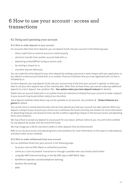# 6 How to use your account - access and transactions

# <span id="page-19-0"></span>6.1 Using and operating your account

#### 6.1.1 How to make deposits to your account

For accounts other than term deposits, you can deposit funds into your account in the following ways:

- direct credit from an external account or external party
- electronic transfer from another account held with us
- depositing via Bank@Post (using an access card)
- by mailing a cheque to us
- any other way we advise you.

You can make the initial deposit to your term deposit by sending a personal or bank cheque with your application, or by a debit to a bank account (held with us or another financial institution that you have registered with us) that is initiated by us.

For term deposits, you may deposit funds into your account only at the time your account is opened, or when you elect to roll your term deposit over at the maturity date. Other than at these times, you cannot make any additional deposits to a term deposit. See condition **[7.2](#page-29-0) - Your [options](#page-29-0) when your term deposit matures** for details).

Debits from an account (held with us or another financial institution) initiated from your account to make a deposit to your account may be permitted, solely at our discretion.

Some deposit methods listed above may not be available on all accounts. See condition **[2](#page-5-0) - Product [features](#page-5-0) at <sup>a</sup> [glance](#page-5-0)** for details.

You cannot send us money electronically until we have advised you that your account has been opened. When you deposit a cheque to your account you cannot use or withdraw the funds until they are cleared. For more information on depositing cheques and clearance times see the condition regarding Cheques in the Account access and operating terms and conditions.

We may refuse to accept any deposit to any account for any reason, without notice to you. You will not be credited for any deposit we accept until we receive the funds.

We may charge you a fee for any direct credits or other deposits that are dishonoured.

Refer to our Account access and operating terms and conditions for more information on the ways to make deposits, and about other access methods.

# 6.1.2 How to make withdrawals from your account

You can withdraw funds from your account in the following ways:

- by access card via ATM, eftpos or contactless purchase
- online as a 'card not present' transaction or through a provider who uses stored card facilities
- using My AMP (internet banking, or the My AMP app or AMP Bett3r App)
- BankPhone (operator-assisted telephone banking)
- BankFax (fax banking)
- BPAY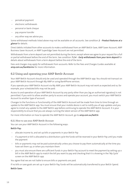- periodical payment
- electronic withdrawals
- personal or bank cheque
- pay anyone transfer
- any other way we advise you.

Some withdrawal methods listed above may not be available on all accounts. See condition **[2](#page-5-0) - Product [features](#page-5-0) at <sup>a</sup> [glance](#page-5-0)** for details.

Direct debits initiated from other accounts to make a withdrawal from an AMP Bett3r Save, AMP Saver Account, AMP Business Saver Account, or AMP SuperEdge Saver Account are not permitted.

Withdrawals from a term deposit are not permitted during the term, except where we agree to your request for a full or partial withdrawal before the end of the term. See condition **[7.2.4](#page-30-0) - Early [withdrawals](#page-30-0) from your term deposit** for details about withdrawals from a term deposit before the end of the term.

<span id="page-20-0"></span>Fees and charges may apply for withdrawals from accounts. Refer to the Fees and Charges Guides available at **amp.com.au/bankterms** for more information.

# 6.2 Using and operating your AMP Bett3r Account

Your AMP Bett3r Account should only be used and operated through the AMP Bett3r app. You should not transact on your AMP Bett3r Account through My AMP or using BankPhone services.

If you operate your AMP Bett3r Account via My AMP, your AMP Bett3r Account may not work as expected and so, for example, your scheduled bills may not be paid.

Access to and operation of your AMP Bett3r Account by any party other than you (eg an authorised signatory) is not permitted. If you wish to allow another party to access and operate your account, you must switch your AMP Bett3r Account to another type of account.

Changes to the functions or functionality of the AMP Bett3r Account will be made from time to time through an update to the AMP Bett3r app. You must ensure that your mobile device is set to notify you of app updates and you agree to install any update to the AMP Bett3r app before continuing to operate the AMP Bett3r Account. It is your responsibility to ensure that you are always running the latest version of the AMP Bett3r app.

For more information on how to operate the AMP Bett3r Account, go to **amp.com.au/bett3r**.

# 6.2.1 How to use your AMP Bett3r Account

You can use your AMP Bett3r Account in the following ways:

#### **Bett3r Pay:**

- allocate income to, and set up bills or payments in your Bett3r Pay
- if a payment or bill is allocated to a distribution cycle the funds will be reserved in your Bett3r Pay until you make the payment
- bills or payments may not be paid automatically unless you choose to pay them automatically at the time you have set them up, or when you maintain them
- you must also ensure there are sufficient funds in your Bett3r Pay account to meet the payment by setting up a bill in the AMP Bett3r app to match the bill you want to pay and checking that it is showing in the 'My Cycle' screen on the AMP Bett3r app.

You agree that we are not liable to ensure bills or payments are paid.

If no bills or save goals are set up in your Bett3r Pay, funds will be automatically transferred to your Bett3r Spend.

#### **Bett3r Save:**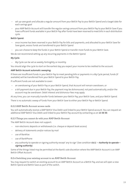- set up save goals and allocate a regular amount from your Bett3r Pay to your Bett3r Spend and a target date for each savings goal
- your AMP Bett3r Account will transfer the regular savings amount from your Bett3r Pay to your Bett3r Save if you have sufficient funds available in your Bett3r Pay after funds have been reserved to meet bills in each distribution cycle.

# **Bett3r Spend:**

- once income has been reserved in your Bett3r Pay for bills and payments, and allocated to your Bett3r Save for Save goals, excess funds are transferred to your Bett3r Spend
- you can choose to keep the funds in your Bett3r Spend or transfer more funds to your Bett3r Save.

We do not recommend setting up any recurring payments in the Bett3r Spend.

#### **My Cycle:**

– My Cycle can be set as weekly, fortnightly, or monthly.

You should align the cycle to start on the earliest day you expect your income to be credited to the account.

#### **AMP Bett3r Account automatic sweeping:**

If there are insufficient funds in your Bett3r Pay to meet pending bills or payments in a My Cycle period, funds (if available) will be transferred from your Bett3r Spend to your Bett3r Pay.

If sufficient funds are not available to cover:

- an overdrawing of your Bett3r Pay or your Bett3r Spend, that Account will remain overdrawn; or
- a bill payment due in your Bett3r Pay, the payment may be dishonoured, not paid automatically, and/or the account may be overdrawn. Debit interest and dishonour fees may apply.

At any time, you can manually transfer funds between your Bett3r Pay, your Bett3r Save, and your Bett3r Spend.

There is no automatic sweep of funds from your Bett3r Save to either your Bett3r Pay or Bett3r Spend.

#### 6.2.2 AMP Bett3r Account access cards

You will automatically receive a AMP Bett3r Visa Debit card linked to your Bett3r Spend account. You can request an additional AMP Bett3r Visa Debit card linked to your Bett3r Pay account by contacting us on **13 30 30**.

#### 6.2.3 Things you cannot do with your AMP Bett3r Account

The AMP Bett3r Account does not support:

- non-electronic deposits or withdrawals (i.e. cheque or deposit book access)
- delivery of statements and/or notices by mail
- use of BankFax
- use of BankPhone
- any authority to operate or signing authority except 'any to sign' (See condition **[6.6.1](#page-24-2) – [Authority](#page-24-2) to operate – signing [authority](#page-24-2)**).

Some of the things listed may be permitted at the Bank's sole discretion where the AMP Bett3r Account is an AMP Bett3r Offset Account.

#### 6.2.4 Switching your existing account to an AMP Bett3r Account

You may request to switch an existing account to an AMP Bett3r Account as a Bett3r Pay, and we will open a new Bett3r Spend and Bett3r Save as part of the switch.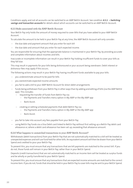Conditions apply, and not all accounts can be switched to an AMP Bett3r Account. See condition **[8.3.1](#page-34-3) – [Switching](#page-34-3) savings and [transaction](#page-34-3) accounts** for details about which accounts can be switched to an AMP Bett3r Account.

#### 6.2.5 Risks associated with the AMP Bett3r Account

Your Bett3r Pay only holds the amount of money required to cover Bills that you have added to your AMP Bett3r Account.

To calculate the amount to be held in your Bett3r Pay at any time, the AMP Bett3r Account will only consider:

- the due date and payment amount that you enter for each bill
- the due date and amount that you enter for each expected income.

You are responsible for ensuring that the appropriate balance is maintained in your Bett3r Pay, by providing accurate and complete information about incomes and bills.

Inaccurate or incomplete information can result in your Bett3r Pay holding insufficient funds to cover your bills as they fall due.

This may result in payments for your bills being dishonoured or your account being overdrawn. Debit interest or dishonour fees may apply if this occurs..

The following actions may result in your Bett3r Pay having insufficient funds available to pay your bills:

- you underestimate amount to be paid for bills
- you overestimate expected income amounts
- you fail to add a bill to your AMP Bett3r Account for direct debit arrangements
- funds being withdrawn from your Bett3r Pay in other ways than by adding andediting of bills (via the AMP Bett3r app). This includes:
	- requesting the transfer of funds from Bett3r Pay via:
		- the Payments and Transfers menu option in My AMP or the My AMP app
		- Bank Assist.
	- creating or editing scheduled payments that debit Bett3r Pay via:
		- the Payments and Transfers menu option in My AMP or the My AMP app
		- Bank Assist.
- you fail to take into account any fees payable from your Bett3r Pay
- using Bett3r Pay funds via a Visa Debit card linked to Bett3r Pay without first setting up a Bett3r Pay debit card allowance or, where a debit card allowance has been set up, exceeding that allowance amount.

#### 6.2.6 What happens to unmatched transactions in your AMP Bett3r Account?

Withdrawals (debit transactions) from your Bett3r Pay that are not automatically matched to a bill will be treated as unexpected expenses and will use fund held for other bills. An equivalent amount will then be drawn from your Bett3r Spend and credited to your your Bett3r Pay.

To prevent this, you must ensure that any transactions that are bill payments are matched to the correct bill. If you do not, those funds will remain in your Bett3r Pay, rather than in your Bett3r Spend.

Deposits (credit transactions) that are not automatically matched to an Income item will be treated as surplus funds and be wholly or partly transferred to your Bett3r Spend.

To prevent this, you must ensure that any transactions that are expected income amounts are matched to the correct Income item. If you do not, funds that should be heldin your Bett3r Pay to cover bills may be sentto your Bett3r Spend.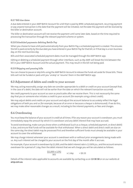# 6.2.7 Bill due dates

A due date entered in your AMP Bett3r Account for a bill that is paid by BPAY, scheduled payment, recurring payment or pay anyone transaction is thedate that the payment will be initiated, not thedate the payment will be received by the biller or destination account.

The biller or destination account will not receive the payment until some later date, based on the time required to processing the transaction through the relevant payment scheme or system.

# 6.2.8 Scheduled payments debiting Bett3r Pay

When you choose to have a bill paid automatically from your Bett3r Pay, a scheduled payment is created. This ensures the bill is paid correctly by the due date you have entered in your Bett3r Pay for that bill, or if that day is a non-business day, on the next business day.

Bills and their associated scheduled payment dates must be managed through the AMP Bett3r app.

Editing or deleting a scheduled payment through other interfaces, such as My AMP, will break the link between the bill in your AMP Bett3r Account and the actual payment. This may result in the bill not being paid.

# 6.2.9 Skipping and pausing bills

<span id="page-23-0"></span>You can choose to pause or skip bills using the AMP Bett3r Account to release the funds set aside for those bills. These bills will not be funded or paid until you 'unskip' or 'resume' them in the AMP Bett3r app.

# 6.3 Adjustment of debits and credit to your account

We may, acting reasonably, assign any date we consider appropriate to a debit or credit on your account (except that, in the case of a debit, the date will not be earlier than the date on which the relevant transaction occurred).

We credit payments to your account as soon as practicable after we receive them. This is not necessarily the same day that you or someone else initiates a credit to your account (for example using a direct credit).

<span id="page-23-1"></span>We may adjust debits and credits on your account and adjust the account balance to accurately reflect the legal obligations of both you and us (for example, because of an error or because a cheque is dishonoured). If we do this, we may make other reasonable changes as a result, including to the interest payments, or fees and charges.

# 6.4 Overdrawing

You must keep the balance of your account in credit at all times. If for any reason your account is overdrawn, you must immediately repay the amount by which it is overdrawn and any debit interest that may have accrued.

To avoid overdrawing, make sure you know when a withdrawal (such as a cheque, scheduled payment, or direct debit) is due, and ensure that funds will be available for that withdrawal. When a direct debit and direct credit are due on the same day, the direct debit may be processed first and therefore sufficient funds must already be available in your account to cover the withdrawal.

We may charge interest whenever your account is overdrawn with or without prior arrangements being made with us. Any such interest will be charged to your account on the first day of the month after it accrues.

For example, if your account is overdrawn by \$1,000, and the debit interest rate is 12.00% p.a., and the account remains overdrawn for a period of 1 day, then the debit interest that we will charge you will be calculated as follows:

$$
\frac{(\$1,000 \times 12\%)}{365} \qquad \qquad \times 1 \text{ day} \qquad = \$0.33
$$

Details of the interest rates applicable to accounts are available by contacting us on **13 30 30** or on our website at **amp.com.au**.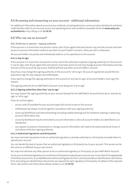# <span id="page-24-0"></span>6.5 Accessing and transacting on your account - additional information

For additional information about account access methods, including electronic communication, BankAssist and direct credit facilities refer to our Account access and operating terms and conditions available online at **[www.amp.com.](https://www.amp.com.au/bankterms) [au/bankterms](https://www.amp.com.au/bankterms)** or by calling us on **13 30 30**.

# <span id="page-24-2"></span><span id="page-24-1"></span>6.6 Who can use an account?

#### 6.6.1 Authority to operate – signing authority

If the account is in more than one person's name, each of you agree that each person may use the account and have access to account information without any other account holder's consent, unless you tell us otherwise.

All account holders are jointly and individually liable to us for operations on the account.

#### **6.6.1.1 Any to sign**

If the account is in more than one person's name, and if the authority to operate ('signing authority') on the account is 'any to sign', each of you agree that each person may have access to and may change account information and may transact on the account by any access method without any other account holder's consent.

Any of you may change the signing authority on the account to 'all to sign'. All account signatories would then be required to sign for any cheques and withdrawals.

If you want to change the signing authority on the account to 'any two to sign', all account holders must sign this request.

The signing authority for an AMP Bett3r Account must always be 'any to sign'.

#### **6.6.1.2 Signing authorities other than 'any to sign'**

You may request the signing authority on your account (except for the AMP Bett3r Account) to be set as 'any two to sign' or 'all to sign'.

If you do, and we agree:

- access cards (if available for your account type) will not be issued on the account
- withdrawals by cheque must be signed in accordance with your signing authority
- access by BankPhone and internet banking (including mobile banking) will be limited to viewing or obtaining account information only
- access by BankAssist may be restricted to account information unless all account holders are identified to our satisfaction
- any request to process a transaction or change account information will need to be authorised by all of you in accordance with your signing authority.

#### **6.6.1.3 Authorised signatories and third parties**

You may nominate any person to be an authorised signatory or provide authority to a third party to enable them to operate your account.

You can decide the level of access that an authorised signatory or third party has to your account. This access can be the same as or different to your own access.

You may not authorise any other person to be an authorised signatory or third party on your AMP Bett3r Account.

To set up an authorised signatory or to authorise a third party to operate your account, you must submit the appropriate Third Party Access form, or an Add/Remove Authorised Signatories form, and also provide an Identification Verification form (including any identification documents we request) for each signatory or third party. For details of the required forms, documents and information please contact us on **13 30 30**.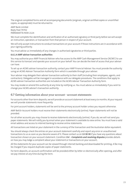The original completed forms and all accompanying documents (originals, original certified copies or uncertified copies, as appropriate) must be returned to:

AMP Bank Limited Reply Paid 79702 PARRAMATTA NSW 2124

We must complete the identification and verification of an authorised signatory or third party before we will accept an instruction, operation, or transaction from that person in respect of your account.

We will only accept instructions to conduct transactions on your account if those instructions are in accordance with your signing authority.

You must advise us immediately of any changes in authorised signatories or third parties.

#### **6.6.1.4 AMP adviser transaction authorities**

You may authorise your AMP Financial Adviser who has access to the AMP Cash Management Service ('ACMS') to use this service to transact and operate your account on your behalf. You can decide the level of access that your adviser can have.

To set up an ACMS adviser transaction authority, contact your AMP Financial Adviser. You must provide the authority using an ACMS Adviser Transaction Authority form which is available through your adviser.

Your adviser may delegate their adviser transaction authority to their staff (including their employees, agents, and contractors). Delegates will be managed in accordance with our delegate procedures. The conditions that apply to ACMS adviser transaction authorities are included on the ACMS Adviser Transaction Authority form.

<span id="page-25-0"></span>You may revoke or amend this authority at any time by notifying us. You must advise us immediately if you wish to change your ACMS adviser's transaction authority.

# 6.7 Getting information about your account - account statements

For accounts other than term deposits, we will provide an account statement at least every six months. At your request we will provide statements more frequently.

For joint account holders, statements will be sent to the primary account holder unless you request otherwise.

AMP Bett3r Account holders must receive their statements electronically (online). Paper statements will not be provided.

For all other accounts you may choose to receive statements electronically (online). If you do, we will not send you paper statements. We will notify you by email when your statement is available to view online. You must have a valid email address and access to internet banking to receive online statements.

All transactions are listed on your statement in the currency of the transaction and the Australian dollar equivalent.

You should always check the entries on your account statement carefully and report any error or unauthorised transactions to us as soon as you become aware of it. Please contact us on **13 30 30** if you have any questions about transaction shown on your account statement. Condition **[9.4](#page-38-3) - [Complaints](#page-38-3) and resolving disputes** provides details on how you may lodge a complaint about your statement or transactions on your account..

All the statements for your account can be viewed through internet banking and downloaded for printing. A fee may be charged if you request duplicate copies of paper statements.

For term deposits, an account confirmation will be provided either by letter or electronically after opening, and after we pay interest at any time during the term.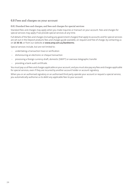# <span id="page-26-0"></span>6.8 Fees and charges on your account

#### 6.8.1 Standard fees and charges, and fees and charges for special services

Standard fees and charges may apply when you make inquiries or transact on your account. Fees and charges for special services may apply if we provide special services at any time.

Full details of the fees and charges (including any government charges) that apply to accounts and for special services are set out in the Deposit products fees and charges guide available, on request and free of charge, by contacting us on **13 30 30**, or from our website at **[www.amp.com.au/bankterms](https://www.amp.com.au/bankterms)**.

Special services include, but are not limited to:

- undertaking a transaction trace or verification
- dishonouring an electronic or cheque transaction
- processing a foreign currency draft, domestic (SWIFT) or overseas telegraphic transfer
- providing a bank audit certificate.

You must pay us all fees and charges applicable on your account, and you must also pay any fees and charges applicable for special services, even if they are incurred by another account holder or account signatory.

When you or an authorised signatory or an authorised third party operate your account or request a special service, you automatically authorise us to debit any applicable fees to your account.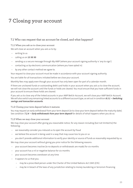# 7 Closing your account

# <span id="page-27-0"></span>7.1 Who can request that an account be closed, and what happens?

# 7.1.1 When you ask us to close your account

We will close an account when you ask us to by:

- writing to us
- calling us on **13 30 30**
- sending us a secure message through My AMP (where your account signing authority is 'any to sign')
- contacting us by electronic communication (where you have opted in)
- by any other contact method we agree to.

Your request to close your account must be made in accordance with your account signing authority.

You are liable for all transactions initiated before we close your account.

Monthly fees may apply even though your account has only been open for part of a calendar month.

If there are uncleared funds or outstanding debit card holds in your account when you ask us to close the account, we will not close the account until the funds or holds are cleared. You must ensure that you have sufficient funds in your account to ensure these holds are cleared.

If you ask us to close any of the linked accounts in your AMP Bett3r Account, we will close your AMP Bett3r Account. We will also switch any remaining linked accounts to a different account type, as set out in condition **[8.3.1](#page-34-3) – [Switching](#page-34-3) savings and [transaction](#page-34-3) accounts**.

# <span id="page-27-1"></span>7.1.2 Closing your term deposit before it matures

You may request an early withdrawal from your term deposit (ie to close your term deposit before the maturity date). See condition **[7.2.4](#page-30-0) – Early [withdrawals](#page-30-0) from your term deposit** for details of what happens when you do so.

# 7.1.3 When we may close your account

We may close your account after giving you reasonable notice, for any reason including (but not limited to) the following:

- we reasonably consider you induced us to open the account by fraud
- we believe the account is being used in a way that may cause loss to you or us
- you don't provide additional information to verify your identity or source of funds as reasonably requested by us.

We may close your account without giving you prior notice for the following reasons:

- your account becomes inactive (ie no deposits or withdrawals are made) for six months
- your account has a nil or negative balance for six months
- your account becomes overdrawn at any time
- it appears to us that you:
	- may be a proscribed person under the Charter of the United Nations Act 1945 (Cth)
	- may be in breach of the laws of any jurisdiction relating to money laundering or terrorism financing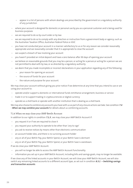- appear in a list of persons with whom dealings are proscribed by the government or a regulatory authority of any jurisdiction
- where your account is designed for domestic or personal use by you as a personal customer and is being used for business purposes
- we are required to do so by court order or by law
- we are required to do so to comply with any direction or instruction from a government body or agency, such as the Australian Taxation Office, Australian Federal Police or ASIC
- you have not conducted your account in a manner satisfactory to us or for any reason we consider reasonably appropriate and we reasonably consider that it is appropriate to close the account
- we suspect a breach of law involving your account
- you haven't provided an initial deposit and have a zero balance after 90 days of opening your account
- we believe on reasonable grounds that you may be a person, or acting for a person,or acting for a person we are not permitted to deal with by law, or as directed by a regulatory authority
- we deem that you made incomplete or incorrect declarations in your application regarding any of the following:
	- your reason for opening an account
	- the source of funds for your account
	- the nature and purpose for your account.

We may close your account without giving you prior notice if we determine at any time that you intend to use or are using your account to:

- operate and/or support a domestic or international funds remittance arrangement, business or service
- trade in or to support trading in cryptocurrencies or digital currency
- operate as a shell bank or operate with another institution that is dealing as a shell bank.

We may also choose to combine any accounts you havewith us as part of any closure actionswe take. See condition **[7.4](#page-32-0) - When we may [combine](#page-32-0) your accounts** for details about us combining accounts.

#### 7.1.4 When we may close your AMP Bett3r Account

In addition to our rights in condition **[7.1.3](#page-27-1)** , we may close your AMP Bett3r Account if:

- you request it or if we are required to close it
- you request your authority to operate to be other than 'any to sign'
- you ask to receive notices by means other than electronic communication
- an account holder dies, and there is no surviving account holder
- any or all of your Bett3r Pay, your Bett3r Spend, or your Bett3r Save is dormant
- any or all of your Bett3r Pay, your Bett3r Spend, or your Bett3r Save is overdrawn.

If we do close your AMP Bett3r Account:

- you will no longer be able to access the AMP Bett3r Account functionality.
- information you set up in your AMP Bett3r Account, including bills and savings goals, may no longer be available.

If we close any of the linked accounts in your Bett3r Account, we will close your AMP Bett3r Account, we will also switch any remaining linked accounts to a different account type, as set out in condition **[8.3.1](#page-34-3) – [Switching](#page-34-3) savings and [transaction](#page-34-3) accounts**.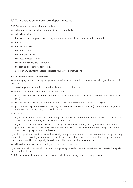# <span id="page-29-0"></span>7.2 Your options when your term deposit matures

# 7.2.1 Before your term deposit maturity date

We will contact in writing before your term deposit's maturity date.

We will include details of:

- the instructions you gave us as to how your funds and interest are to be dealt with at maturity
- the term
- the maturity date
- the interest rate
- the principal balance
- the gross interest accrued
- the net interest payable at maturity
- the total balance payable at maturity
- details of any new term deposit, subject to your maturity instructions.

# 7.2.2 Payment of deposit and interest

When you apply for your term deposit, you must also instruct us about the actions to take when your term deposit matures.

You may change your instructions at any time before the end of the term.

When your term deposit matures, you can instruct us to:

- reinvest the principal and interest due at maturity for another term (available for terms less than or equal to one year)
- reinvest the principal only for another term, and have the interest due at maturity paid to you
- pay the principal plus interestdue at maturity into the nominatedaccount with us, (or with another bank, building society or credit union) or to you by bank cheque.

For example:

- if your last instruction is to reinvest the principal andinterest for three months, we will reinvest the principal and any interest due at maturity for a new three-month term.
- if your last instruction was to reinvest the principal only for three months, and pay interest due at maturity to your nominated account, then we will reinvest the principal for a new three-month term, and pay any interest due at maturity to your nominated account.

If you do not provide instructions before the maturity date, your term deposit will be closed and the principal and any interest due will be paid to your nominated account. If you have not nominated an account, the principal and interest due at maturity will be sent to you by bank cheque at the address we have on our records.

We will pay the principal and interest to you, the account holder, only.

If your term deposit is reinvested for another term, you may be paid a different interest rate than the rate that applied for the expiring term.

For information about current interest rates and available terms at any time, go to **amp.com.au**.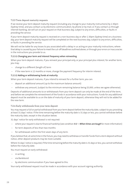#### 7.2.3 Term deposit maturity requests

If we receive your term deposit maturity request (including any change to your maturity instructions) by 2.30pm (Sydney time), and you contact us by electronic communication, by phone or by mail, or if you contact us through internet banking, we will act on your request on that business day, subject to any errors, difficulties, or faults in providing the service.

If your term deposit maturity request is received on a non-business day or after 2.30pm (Sydney time) on a business day, your term deposit maturity request will be completed on the next business day, subject to any errors, difficulties, or faults in providing the service.

We will not be liable for any losses to you associated with a delay in us acting on your maturity instructions, where that delay is caused by your failure to meet the cut-off deadlines outlined above, or through your errors or inaccuracies in the instructions you provide to us.

#### **7.2.3.1 Changing your term and interest frequency when reinvesting**

When your term deposit matures, if you reinvest your principal only, or your principal plus interest, for another term, you may:

- change to a different (length of) term
- if the new term is 12 months or more, change the payment frequency for interim interest.

#### **7.2.3.2 Adding or withdrawing funds at maturity**

When your term deposit matures, if you intend to reinvest for a further term, you can:

- deposit an additional amount (up to the maximum balance amount)
- withdraw any amount, (subject to the minimum remaining balance being \$5,000, unless we agree otherwise).

<span id="page-30-0"></span>Deposits of additional amounts to or withdrawals from your term deposit can only be made at the end of the term, and before we complete the reinvestment of the funds in accordance with your instructions. Funds for any additional deposit must be available to us on the date of maturity of your term deposit, otherwise they will not to be added for the new term.

#### 7.2.4 Early withdrawals from your term deposit

You may request a full or partial withdrawal from your term deposit before the maturity date, subject to you providing at least 31days' notice. If the time remaining before the maturitydate is 31days or less, you cannot withdraw before the maturity date, except in the situation below.

31 days' notice for early withdrawal is not required:

- where your requestisdue to financial hardship (see condition **[9.3](#page-38-2) – When times are [tough](#page-38-2)** for more information)
- for term deposits of less than two months
- for withdrawals within the first seven days of any term.

If you believe that, at some time in the future, you may needtowithdrawortransferfunds from a term depositwithout notice, other deposit products may be more suitable.

Where 31 days' notice is required, if the time remaining before the maturity date is 31 days or less, you cannot withdraw before the maturity date.

You must request an early withdrawal:

- in writing
- via BankAssist
- by electronic communication if you have agreed to this.

Your early withdrawal request must be made in accordance with your account signing authority.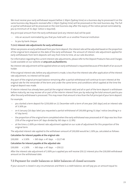We must receive your early withdrawal request before 2.30pm (Sydney time) on a business day to processed it on the same business day. Requests received after 2.30pm (Sydney time) will be processed on the next business day. The full or partial withdrawal will be processed on the next business day after the expiry of the notice period nominated by you (a minimum of 31 days' notice is required).

Any principal amount from the early withdrawal (and any interest due) will be paid:

- into an account nominated by you that you hold with us or another financial institution
- to you by bank cheque.

#### **7.2.4.1 Interest rate adjustments for early withdrawal**

When we process an early withdrawal from your term deposit, the interest rate will be adjusted based on the proportion of the original term elapsed on the date of the early withdrawal. The amount of interest rate adjustment applied for early withdrawals from term deposits will vary from time to time, at our sole discretion.

For information regarding the current interest rate adjustments, please refer to the Deposit Products Fees and Charges Guide available on our website at **amp.com.au/bankterms**.

No interest rate adjustment will be applied where an early withdrawal is requested because of the death of an account holder.

If the original interest rate, before any adjustment is made, is less than the interest rate after application of the interest rate adjustment, no interest will be paid.

Any part of the original principal balance remaining after a partial withdrawal will continue to earn interest at the original rate for the remainder of the term and under the same terms and conditions which applied at the time the original deposit was made.

If interim interest has already been paid(at the original interest rate) andall or part of the term deposit is withdrawn before maturity, we may recover all or part of the interim interest from you by reducing the total amount paid to you after the early withdrawal is processed. This may mean that amount is less than the full principal of your term deposit.

For example:

- you started a term deposit for \$250,000 on 21 December with a term of one year (365 days) and an interest rate of 3.30% pa
- on 6 January (16 days later) you requested a partial withdrawal of \$30,000 giving 31 days' notice (resulting in a 47 day term)
- the proportion ofthe originalterm completed when the early withdrawal was processedat 47days was less than 25% of the original term (47 days divided by 365 days is 12.9%)
- at the time a 2.00% pa interest rate adjustment applied on our scale of adjustment for this proportion of the original term.

The adjusted interest rate applied to the withdrawn amount of \$30,000 would be 1.30% pa, calculated as follows:

#### **Calculation for interest payable at the original rate**

 $$30,000 \times 3.30\% \div 365 \text{ days} \times 47 \text{ days} = $127.48$ 

#### <span id="page-31-0"></span>**Calculation for interest payable at the adjusted rate**

 $$30,000 \times 1.30\% \div 365 \text{ days} \times 47 \text{ days} = $50.22$ 

After the interest rate adjustment of 2.00% pa is appliedyou will receive \$50.22 interest plus the \$30,000 withdrawal amount on the withdrawal date.

# 7.3 Payment for credit balances or debit balances of closed accounts

If your account is closed in any circumstances and there is a credit balance, we will pay you an amount equal to: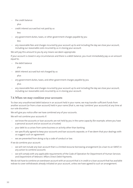the credit balance

plus

– credit interest accrued but not paid by us

less

– any government duties, taxes, or other government charges payable by you

less

– any reasonable fees and charges incurred by your account up to and including the day we close your account, including our reasonable costs incurred by us in closing your account.

We will pay this amount to you by any means we deem appropriate.

If your account is closed in any circumstances and there is a debit balance, you must immediately pay us an amount equal to;

– the debit balance

plus

debit interest accrued but not charged by us

plus

– any government duties, taxes, and other government charges payable by you

plus

<span id="page-32-0"></span>– any reasonable fees and charges incurred by your account up to and including the day we close your account, including our reasonable costs incurred by us in closing your account.

# 7.4 When we may combine your accounts

To clear any unauthorised debit balance in an account held in your name, we may transfer sufficient funds from another account (or from a loan account) held in your name (that is, we may 'combine' your accounts) at any time at our sole discretion.

We will give you notice after we have combined any of your accounts.

We will not combine your accounts if:

- we know the accounts or loan accounts are not held by you in the same capacity (for example, where you have a personal account and an account as a trustee)
- your debt to us arises from some business or activity other than banking
- we specifically agreed to keep your accounts and loan accounts separate, or if we deem that your dealings with us suggest such an agreement
- we are prevented from doing so by a code of conduct or law.

If we do combine your account:

- we will not include any loan account that is a limited recourse borrowing arrangement (ie a loan to an SMSF) in any action to combine accounts
- we will comply with any applicable requirements of the Code of Operation for Department of Human Services and Department of Veterans' Affairs Direct Debit Payments.

We do not have to combine an overdrawn account with an account that is in credit or a loan account that has available redraw to cover withdrawals already initiated on your account, unless we have agreed to such an arrangement.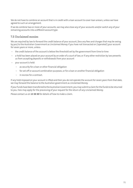We do not have to combine an account that is in credit with a loan account to cover loan arrears, unless we have agreed to such an arrangement.

If we do combine two or more of your accounts, we may also close any of your accounts and/or switch any of your remaining accounts into a different account type.

# <span id="page-33-0"></span>7.5 Unclaimed monies

We are required by law to forward the credit balance of your account, (less any fees and charges that may be owing by you) to the Australian Government as Unclaimed Money if you have not transacted on ('operated') your account for seven years or more, unless:

- the credit balance of the account is below the threshold set by the government from time to time
- a hold has been placed on your account by an order of a court of law, or if any other restriction by law prevents us from accepting deposits or withdrawals from your account
- your account is held:
	- as security for a loan or other financial obligation
	- for set-off or account combination purposes, or for a loan or another financial obligation
	- in escrow for a contract.

If any hold imposed on your account is lifted and then you do not operate the account for seven years from that date, we may forward the balance to the Australian government as Unclaimed Money.

If your funds have been transferred to the Australian Government, you may submit a claim for the funds to be returned to you. Fees may apply for the processing of your request for the return of any Unclaimed Money.

Please contact us on **13 30 30** for details of how to make a claim.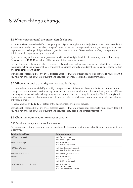# 8 When things change

# <span id="page-34-0"></span>8.1 When your personal or contact details change

You must advise us immediately if you change any part of your name, phone number(s), fax number, postal or residential address, email address, or if there is a change of connected parties or any person to whom you have granted access to your account, a change of signatories or to your tax residency status. You can advise us of any changes to your details by mail, telephone, or by secure email.

If you change any part of your name, you must provide us with original certified documentary proof of the change. Please call us on **13 30 30** for details of the documentation you must provide.

Each joint account holder must notify us separately of any changes to their own personal or contact details, or foreign tax residency. If one joint account holder changes their address, we will not update the personal or contact details of any other joint account holder.

<span id="page-34-1"></span>We will not be responsible for any errors or losses associated with your account details or changes to your account if you have not provided us with your current and accurate personal details and contact information.

# 8.2 When your entity or entity contact details change

You must advise us immediately if your entity changes any part of its name, phone number(s), fax number, postal, principal place of business/operation or registered business address, email address, its tax residency status, or if there is a change of connected parties, change of signatories, nature of business, change to the entity's Trust Deed, registration or regulation status or registration numbers, etc. You can notify us of changes to your entity details by mail, phone, or by secure email.

<span id="page-34-2"></span>Please contact us on **13 30 30** for details of the documentation you must provide.

<span id="page-34-3"></span>We will not be responsible for any errors or losses associated with your account or changes to your account details if you have not provided us with your current and accurate entity details and contact information.

# 8.3 Changing your account to another product

#### 8.3.1 Switching savings and transaction accounts

You can request that your existing account be switched into the products in the table below. No other product switching is permitted.

| Switches allowed from         | Switches allowed to                                                  |
|-------------------------------|----------------------------------------------------------------------|
| AMP Access Account            | AMP Cash Manager<br>AMP Bett3r (Pay) Account                         |
| AMP Cash Manager              | AMP Access Account<br>AMP Bett3r (Pay)Account                        |
| AMP Cash Manager              | AMP SuperEdge Cash Account<br>AMP SuperEdge Pension Account          |
| <b>Business Saver Account</b> | AMP SuperEdge Saver Account                                          |
| <b>AMP First</b>              | AMP Access Account<br>AMP Cash Manager<br>AMP Bett3r (Pay)Account    |
| eASYCash Management Account   | AMP Access Account<br>AMP Cash Manager<br>AMP SuperEdge Cash Account |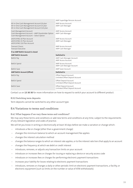|                                                                                                                                            | AMP SuperEdge Pension Account                             |  |  |  |  |  |
|--------------------------------------------------------------------------------------------------------------------------------------------|-----------------------------------------------------------|--|--|--|--|--|
| All-in-One Cash Management Account \$0 plan<br>All-in-One Cash Management Account \$5 plan<br>All-in-One Cash Management Account \$10 plan | <b>AMP Access Account</b><br>AMP Cash Manager             |  |  |  |  |  |
| Cash Management Account<br>Cash Management Account - AMP Shareholder Option<br>Cash Management Account - Select Option                     | <b>AMP Access Account</b><br>AMP Cash Manager             |  |  |  |  |  |
| eASYLIVING \$0 Plan Account<br>eASYLIVING \$5 Plan Account<br>eASYLIVING \$10 Plan Account                                                 | <b>AMP Access Account</b><br>AMP Cash Manager             |  |  |  |  |  |
| Transact Classic<br><b>Transact Executive</b>                                                                                              | <b>AMP Access Account</b><br>AMP Cash Manager             |  |  |  |  |  |
| If an AMP Bett3r Account is closed                                                                                                         |                                                           |  |  |  |  |  |
| <b>AMP Bett3r Accounts</b>                                                                                                                 | Switched to                                               |  |  |  |  |  |
| Bett3r Pay                                                                                                                                 | AMP Cash Manager Account<br><b>AMP Access Account</b>     |  |  |  |  |  |
| Bett3r Spend                                                                                                                               | <b>AMP Access Account</b><br>AMP Cash Manager Account     |  |  |  |  |  |
| Bett3r Save                                                                                                                                | AMP Saver Account                                         |  |  |  |  |  |
| <b>AMP Bett3r Account (Offset)</b>                                                                                                         | Switched to                                               |  |  |  |  |  |
| Bett3r Pay                                                                                                                                 | Offset Deposit Account<br>Unlinked Offset Deposit Account |  |  |  |  |  |
| Bett3r Spend                                                                                                                               | Offset Deposit Account<br>Unlinked Offset Deposit Account |  |  |  |  |  |
| Bett3r Save                                                                                                                                | Offset Deposit Account<br>Unlinked Offset Deposit Account |  |  |  |  |  |

Contact us on **13 30 30** for more information on how to request to switch your account to different product.

#### <span id="page-35-0"></span>8.3.2 Switching term deposits

<span id="page-35-1"></span>Term deposits cannot be switched to any other account type.

# 8.4 Variations to terms and conditions

#### 8.4.1 What happens if we vary these terms and conditions?

We may vary these terms and conditions or add new terms and conditions at any time, subject to the requirements of any relevant legislation and codes of practice.

We will let you know in writing or electronically at least 30 days before we make a variation or change which:

- introduces a fee or charge (other than a government charge)
- changes the minimum balance to which an account management fee applies
- changes the interest calculation method
- changes the balance ranges to which an interest rate applies, or to the interest rate tiers that apply to an account
- changes the frequency at which we debit or credit interest
- introduces, removes, or adjusts any transaction limits on your account
- introduces or increases fees or charges for issuing or replacing a device or security access code
- introduces or increases fees or charges for performing electronic payment transactions
- increases your liability for losses relating to electronic payment transactions
- introduces, removes or changes a daily or other periodic limit on electronic payment transactions, a facility, or electronic equipment (such as limits on the number or value of ATM withdrawals).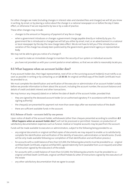For other changes we make (including changes in interest rates and standard fees and charges) we will let you know in writing, by email, or by placing a notice about the change in a national newspaper on or before the day it takes effect, or otherwise if we are required to by law or by a code of practice.

These other changes may include:

- changes to the amount or frequency of payment of any fee or charge
- when a government introduces or changes a government charge payable directly or indirectly by you. If a government fee is introducedor changed we will tell you either by email, mail, or an advertisement in a national or local newspaper by the day the new charge takes effect. We do not have to tell you if the introduction or variation of the charge has already been publicised by the government, government agency or representative body.

We may not be able to give you notice of a change if:

- we need to make an immediate change to maintain the security of our system or individual accounts
- <span id="page-36-0"></span>– you have not provided us with your current postal or email address, so that we are able to reasonably locate you.

# 8.5 What happens when an account holder dies?

If any account holder dies, their legal representative, next of kin or the surviving account holder(s) must notify us as soon as possible in writing or by contacting us on **13 30 30**. An original certified copy of the Death Certificate must be provided to us.

We must complete the identification and verification of the executor or administrator of an account holder's estate before we provide information to them about the account, including the account number, the account balance and details of credit and debit interest and other transactions.

We may honour any cheque(s) dated on or before the date of death of the account holder, provided that:

- they are signed by the deceased account holder (or an authorised signatory if in accordance with the account signing authority)
- the cheque(s) are presented for payment not more than seven days after we received notice of the death
- there are sufficient available funds in the account.

# 8.5.1 Release of funds – accounts held by one person

Upon notice of death of the account holder, withdrawals (other than cheques presented according to condition **[8.5](#page-36-0) - What [happens](#page-36-0) when an account holder dies?** ) will not be processed or permitted. However, on production of satisfactory documentation expenses such as funeral, medical or hospital accounts may be paid from the account.

Funds will be made available to executors or administrators, subject to the following being provided to us:

- any original documents or original certified copies of documents we may request to enable us to satisfactorily complete the identification and verification of the identity of executors, administrators or beneficiaries. (Funds will be only made available following our completion of that identification and verification process.)
- for accounts with a credit balance ofless than \$15,000,the followingdocuments must be providedto us original certified Death Certificate, original certified Will, signed Indemnity Form (available from us on request) and Letter of instruction signed by the executor/s of the estate
- for accounts with a credit balance of more than \$15,000, the following documents must be provided to us original certified Death Certificate, original certified Probate & Letter of Instructions signed by the executor/s of the estate
- any other satisfactory documentation that we agree to accept.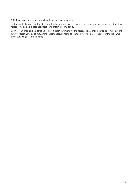#### 8.5.2 Release of funds – accounts held by more than one person

On the death of any account holder, we will automatically treat the balance in the account as belonging to the other holder or holders. This does not affect our rights at law and equity.

Upon receipt of an original certified copy of a death certificate for the deceased account holder and a letter from the surviving account holder(s) requesting that the account name be changed, we will transfer the account to the name(s) of the surviving account holder(s).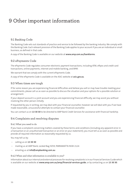# 9 Other important information

# <span id="page-38-0"></span>9.1 Banking Code

The Banking Code sets out standards of practice and service to be followed by the banking industry. We comply with the Banking Code. Each relevant provision of the Banking Code applies to your account if you are an individual or small business, as defined in that code.

<span id="page-38-1"></span>A copy of the Banking Code is available on our website at **[www.amp.com.au/bankterms](https://www.amp.com.au/bankterms)**.

# 9.2 ePayments Code

The ePayments Code regulates consumer electronic payment transactions, including ATM, eftpos and credit card transactions, online payments, internet and mobile banking, and BPAY.

We warrant that we comply with the current ePayments Code.

<span id="page-38-2"></span>A copy of the ePayments Code is available on the ASIC website at **[asic.gov.au](https://asic.gov.au)**.

# 9.3 When times are tough

If for some reason you are experiencing financial difficulties and believe you will or may have trouble meeting your commitments, please call us as soon as possible to discuss the situation and your options for a possible solution or arrangement.

If your deposit account is a joint account and you are experiencing financial difficulty, we may assist you without involving the other person initially.

<span id="page-38-3"></span>If requested by you in writing, we may deal with your financial counsellor, however we will deal with you if we have made reasonable, unsuccessful attempts to contact your financial counsellor.

You can contact us on **13 30 30** to be directed to AMP Bank Credit Services for assistance with financial hardship.

# 9.4 Complaints and resolving disputes

# 9.4.1 What you need to do

If you have a complaint concerning matters covered by these terms and conditions (including any apparent error in a transaction or an unauthorised transaction or an error on your statement), you must tell us as soon as possible and provide all required information as reasonably requested by us.

You may tell us by:

- calling us on **13 30 30**
- mailing us at AMP Bank, Locked Bag 5059, PARRAMATTA NSW 2124
- emailing us at **info@ampbanking.com.au**

#### 9.4.2 When and what information is available to you?

Information about our internal and external processes for resolving complaints is in our Financial Services Guide which is available on our website at **[www.amp.com.au/amp/financial-services-guide](https://www.amp.com.au/amp/financial-services-guide)**, or by contacting us on **13 30 30**.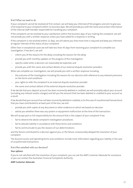#### 9.4.3 What we need to do

If your complaint cannot be resolved at first contact, we will keep you informed of the progress and aim to give you a full response to your complaint within 21 business days. We will provide you with the name and contact information of the internal staff member responsible for handling your complaint.

If the complaint can be resolved to your satisfaction within five business days of you making the complaint, we will not provide you with a written response unless you have asked for a response in writing.

If the complaint is not resolved within 21 days, we will advise you that more time is required and keep you informed at regular intervals of the status of your complaint.

Other than in exceptional cases we will take less than 45 days from receiving your complaint to complete our investigation. If we don't, we will:

- inform you of the reasons for the delay including the reasons for the delay
- provide you with monthly updates on the progress of the investigation
- specify a date when a decision can reasonably be expected, and
- provide you with the name and contact details of our external dispute resolution providers.

When we complete our investigation, we will provide you with a written response including:

- the outcome of the investigation including the reasons for our decision with reference to any relevant provisions on the terms and conditions
- your rights to refer the complaint to an external dispute resolution provider
- the name and contact details of the external dispute resolution provider.

If we decide that your deposit account has been incorrectly debited or credited, we will promptly adjust your account (including any interest and/or charges) and tell you the amount that has been debited or credited to your account as a result.

If we decide that your account has not been incorrectly debited or credited, or (in the case of unauthorised transactions) that you have contributed to at least part of the loss, we will:

- provide you with copies of any document or other evidence on which we based our decision
- advise you whether there was any system or equipment malfunction at the time of the transaction.

We will accept part or full responsibility for the amount that is the subject of your complaint if we:

- fail to observe the above complaint investigation procedures
- fail to allocate liability in accordance with these terms and conditions
- fail to communicate to you the reasons of our determinations

and the failure contributed to a decision against you, or the failure unreasonably delayed the resolution of your complaint.

The Account access and operating terms and conditions include more information regarding your liability in the case of unauthorised transactions.

#### 9.4.4 Not satisfied with our decision?

#### **Your options**

If you're not satisfied with the resolution of your complaint, you can ask the AMP Customer Advocate for assistance or you can contact the Australian Financial Complaints Authority .

# **AMP Customer Advocate**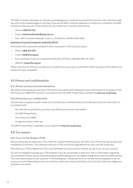The AMP Customer Advocate can help you by reviewing your complaint to ensure the outcome is fair and reasonable. you will not be disadvantaged in any way if you ask the AMP Customer Advocate to review your complaint and AMP will honour the outcome of the review. You can contact our Customer Advocate by:

- Phone: **1300 074 235**
- Email: **customeradvocate@amp.com.au**
- Post: AMP Customer Advocate, Level 11, 33 Alfred St, SYDNEY NSW 2000

#### **Australian Financial Complaints Authority (AFCA)**

AFCA deals with unresolved complaints from consumers in the financial system.

- Phone: **1800 931 678**
- Email: **info@afca.org.au**
- Post: Australian Financial Complaints Authority, GPO Box 3, MELBOURNE VIC 3001
- Website: **www.afca.org.au**

<span id="page-40-0"></span>Please note that for AFCA to consider your complaint you must raise it with them within two years of the date of our response to your complaint.

# 9.5 Privacy and confidentiality

#### 9.5.1 Privacy and your personal information

We collect and handle your personal information (including credit-related personal information) in accordance with the Privacy Act 1988 (Cth) and also in accordance with the AMP Privacy Policy, available at **[amp.com.au/privacy](https://amp.com.au/privacy)**.

# 9.5.2 Protecting your confidentiality

We will meet our general duties under law to protect your confidentiality and handle your personal information in accordance with:

- the notice(s) we provide to you when we collect your personal information
- the AMP Privacy Policy
- <span id="page-40-1"></span>– the Privacy Act (1988)
- our general duties under law.

The AMP Privacy Policy is available on our website at **[amp.com.au/privacy](https://amp.com.au/privacy)**.

# 9.6 Tax matters

#### 9.6.1 Your Tax File Number (TFN)

We are authorised to collect your TFN under the Taxation Administration Act 1953. Your TFN will be kept private and confidential at all times. The collection and use of TFNs are strictly regulated by tax laws and the Privacy Act.

We collect your TFN to determine if we must withhold any amount from interest we pay to you on your account.

You are not obliged to provide your TFN however if you do not provide us with your TFN, or information regarding your exemption status, we are required to deduct withholding tax at the highest marginal tax rate plus Medicare levy from any interest paid on your account. If withholding tax is deducted from an interest amount payable to you on on your account, depending on your tax residency status, you may be entitled to claim this back when you lodge your Australian tax return.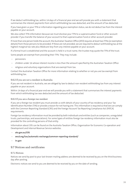If we deduct withholding tax, within 14 days of a financial year end we will provide you with a statement that summarises the interest payments from which withholding tax was deducted, and the amount of tax deducted.

If you have given us your TFN or information regarding your exemption status, we do not deduct tax from the interest payable on your account.

We also collect TFN information because we must disclose your TFN to a superannuation fund or other account provider if you transfer the balance of your account to that superannuation fund or other account provider.

If more than one person holds the account, the Australian Taxation Office (ATO) requires at least two TFNs (or exemption details) from those persons to be provided. If these are not provided, we are required to deduct withholding tax at the highest marginal tax rate plus Medicare levy from any interest payable on your account.

If a formal trust is established and the account is held in a trust name, the trustee may quote the TFN of the trust.

Some people are exempt from providing their TFN. They may include:

- pensioners
- children under 16 whose interest income is less than the amount specified by the Australian Taxation Office
- religious and voluntary organisations that are exempt from tax.

Contact the Australian Taxation Office for more information relating to whether or not you are tax exempt from withholding tax.

#### 9.6.2 If you are not a resident in Australia

If you are not resident in Australia, we are obliged by law to deduct non-resident withholding tax from any interest payable on your account.

Within 14 days of a financial year end we will provide you with a statement that summarises the interest payments from which withholding tax was deducted and the amount of tax deducted.

# 9.6.3 If you are a foreign tax resident

If you are a foreign tax resident you must provide us with details of your country of tax residency and your Tax Identification Number (TIN) or provide a reason for not having one. This information is required so that we can comply with the Common Reporting Standard (CRS) and the Foreign Account Tax Reporting Compliance Act (FATCA) requirements.

Foreign tax residency information must be provided by both individuals andentities (such as companies, unregulated trusts, partnerships, and associations). For some types of entities foreign tax residency information must also be provided for the controlling persons of that entity.

Information about CRS can be found on the Australia Taxation Office, Organisation for Economic Co-operation and Development and Internal Revenue Service websites.

- <span id="page-41-0"></span>– **[ato.gov.au/CRS](https://ato.gov.au/CRS)**
- **[oecd.org/tax/automatic-exchange/common-reporting-standard/](https://oecd.org/tax/automatic-exchange/common-reporting-standard/)**
- **[irs.gov](https://irs.gov)**

# 9.7 Notices and certificates

#### 9.7.1 Notices

Notices we send by post to your last-known mailing address are deemed to be received by you on the third business day after posting.

Electronic notices we send to you are deemed to be received by you on the date of sending.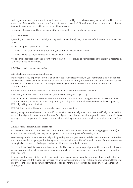Notices you send to us by post are deemed to have been received by us on a business day when delivered to us at our address by 1.00pm on that business day. Notices delivered to us after 1.00pm (Sydney time) on any business day are deemed to have been received by us on the next business day.

Electronic notices you send to us are deemed to be received by us on the date of sending.

#### 9.7.2 Certificates

By opening an account, you acknowledge and agree that a certificate (or any other form of written notice as determined by us):

- that is signed by one of our officers
- which states that an amount is due from you to us in respect of your account
- which expresses any other facts in respect of your account

<span id="page-42-0"></span>will be sufficient evidence of the amount or the facts, unless it is proved to be incorrect and that proof is accepted by us in writing, acting reasonably.

# 9.8 Electronic communication

#### 9.8.1 Electronic communications from us

We may contact you or provide information and notices to you electronically to your nominated electronic address (for example, via SMS or email) in addition to, or as an alternative to, any other methods of communication detailed in these terms and conditions. You must regularly check your nominated electronic address for electronic communications.

Some electronic communications may include links to detailed information on a website.

If we send you an electronic communication, we may not send you a paper copy.

If you do not want to receive electronic communications from us or want to change where you receive electronic communications, you can let us know at any time by updating your communication preferences in writing, on My AMP or by calling us on **13 30 30**.

AMP Bett3r Account holders must receive electronic communications.

We may accept and send non-account specific information electronically, unless you have specifically requested that wedo not sendyou electronic communications. Even if you requestthatwedo not sendyou electronic communications, we may send you important electronic communications relating to your accounts, such as account updates and fraud alerts.

#### 9.8.2 Electronic communication from you

You may send a request to us to execute transactions or perform maintenance (such as changing your address) on your account electronically. We may contact you to confirm your request before acting on it.

We can accept all documents electronically so long as they are from your nominated electronic address and authorised in accordance with the signing authority on your account, with the exception of those documents for which we require the original or original certified copies, such as verification of identity documents.

You will obtain a fax delivery confirmation for each BankFax instruction or request you send to us. You will not receive a delivery confirmation when you submit documentation to us via email, unless you request a read receipt on the email you sent.

If your account or access details are left unattended at a fax machine or a public computer, others may be able to access your account. If this happens, there is a risk of unauthorised transactions or fraud on your account. Please refer to our Account access and operating terms and conditions for more information about liability for unauthorised transactions.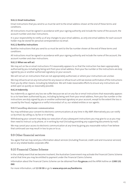# **9.8.2.1 Email instructions**

Email instructions that you send to us must be sent to the email address shown at the end of these terms and conditions.

All instructions must be signed in accordance with your signing authority and include the name of the account, the account number and clear instructions.

It is your responsibility to notify us of any changes to your email address, as only one email address for each account holder may be stored for personal correspondence via email.

# **9.8.2.2 BankFax instructions**

BankFax instructions that you send to us must be sent to the fax number shown at the end of these terms and conditions.

All instructions must be signed in accordance with your signing authority and include the name of the account, the account number and clear instructions.

# **9.8.2.3 When we will act**

We may act on fax or email instructions if it reasonably appears to us that the instruction has been appropriately authorised by you including by being sent from your email address, from your fax number or the instructions are duly signed by you or another authorised signatory on your account.

We will not act on instructions that are not appropriately authorised, or where your instructions are unclear.

We may refuse to act on any instruction for any reason or refuse to act until we receive confirmation of the instructions from you by other means, including by telephone. We will make reasonable efforts to ensure any instructions are acted upon as quickly as reasonably possible.

#### **9.8.2.4 Indemnity**

You indemnify us against any loss we suffer because we act on any fax or email instructions that reasonably appears to us to have been authorised by you, including by being sent from your email address, from your fax number or the instructions are duly signed by you or another authorised signatory on your account, except to the extent the loss is caused by the fraud, negligence or wilful misconduct of us, our related entities or our agents.

# 9.8.3 Cancelling electronic communication

You may withdraw your consent to electronic communications at any time in My AMP. Alternatively you can notify us by email, by calling us, by fax or in writing.

<span id="page-43-0"></span>Withdrawing your consent may delay our execution of any subsequent instructions you may give to us as you may then need to instruct us by phone, or in writing by mail (including providing any supporting documents by mail).

We may cancel your access to electronic communication at any time by giving you reasonable notice if we believe that continued use may result in loss to you or to us.

# <span id="page-43-1"></span>9.9 Other financial services

You agree that we may send you information about services (including financial, credit card and insurance services) we or any related bodies corporate offer.

# 9.10 Financial Claims Scheme

In the unlikely event that we become insolvent, the Australian Government may activate the Financial Claims Scheme and at that time you may be entitled to payment under the Financial Claims Scheme.

Information about the Financial Claims Scheme can be obtained from **[fcs.gov.au](https://fcs.gov.au)** and the APRA hotline on **1300 131 060**.

For more information, call **13 30 30** or go to **[www.amp.com.au/bankterms](https://www.amp.com.au/bankterms)**.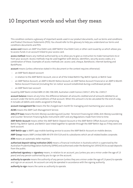# 10 Important words and what they mean

<span id="page-44-0"></span>This condition contains a glossary of important words used in our product documents, such as terms and conditions and Product Disclosure Statements (PDS). You should refer to this glossary to help you understand our terms and conditions documents and PDS.

**access card** means an AMP Visa Debit card, AMP Bett3r Visa Debit Card, or other card issued by us which allows you to access funds in an account linked to your access card.

**access method** means any method authorised by us to allow you to give us instruction to make transactions to or from your account. Access methods may be used together with devices, identifiers, security access codes, or a combination of these. Examples of access methods are: access card, cheque, BankAssist, internet banking and BankPhone.

**account** means (unless otherwise stated in this document or the context requires otherwise):

- an AMP Bank deposit account
- in relation to the AMP Bett3r Account, one or all of the linked Bett3r Pay, Bett3r Spend, or Bett3r Save
- an AMP Notice Account, an AMP 6-Month Notice Account, an AMP Notice Account Financial or an AMP 6-Month Notice Account Financial (including the 'on-notice' account established during a withdrawal period).
- an AMP Bank loan account

issued by AMP Bank Limited ABN 15 081 596 009, Australian credit licence 234517, AFSL No. 234517.

**account balance** means at any time, the difference between all amounts credited and all amounts debited to an account under the terms and conditions of that account. When this amount is to be calculated for the end of a day, it includes all debits and credits assigned to that day.

**account management fee** means the fee charged each month for managing and maintaining your account.

**ACMS** means the AMP Cash Management Service.

**AML/CTF laws** means the Anti-Money Laundering and Counter- Terrorism Financing Act 2006, Anti-Money Laundering and Counter-Terrorism Financing Rules Instrument 2007 and any Regulations made from time to time.

**AMP Bett3r Account** means either the AMP Bett3r Deposit Account or the AMP Bett3r Offset Account comprising Bett3r Pay, Bett3r Spend, and Bett3r Save linked together to operate through the AMP Bett3r App as if they were one bank account.

**AMP Bett3r app** is AMP's app mobile banking service to access the AMP Bett3r Account on mobile devices.

**AMP Group** means AMP Limited ABN 49 079 354 519 and its subsidiaries which are all related bodies corporate.

**ATM** means an automatic teller machine.

**authorised deposit-taking institution (ADI)** means a financial institution in Australia which is supervised by the Australian Prudential Regulation Authority (APRA) and authorised under the Banking Act 1959 (Cth) to accept deposits from the public.

**authorised signatory** or **signatory** means, in relation to an account, you (unless you are a minor under the age of 13 years) and any person authorised by you to sign on the account.

**authority to operate** means the authority of any person (unless they are a minor under the age of 13 years) to operate and sign on an account. An account can only be operated in accordance with the signing authority.

**authority to sign** means the same as authority to operate.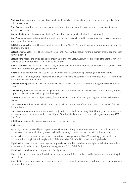**BankAssist** means our staff-assisted phone servicewhich can be usedto make account enquiries andrequest assistance with transactions.

**BankFax** means our fax banking service which can be used to, for example, make account enquiries and provide account instructions.

**Banking Code** means the Australian Banking Association code of practice for banks, as adopted by us.

**BankPhone** means our automated phone banking service which can be usedto, for example, make account enquiries and conduct transactions.

**Bett3r Pay** means the linked bank account set up in the AMP Bett3r Account to receive Income and reserve funds for payments and bills.

**Bett3r Save** means the linked bank account set up in the AMP Bett3r Account for the allocation of save goals for each My Cycle period.

**Bett3r Spend** means the linked bank account set up in the AMP Bett3r Account for allocation of funds that have not been reserved in Bett3r Pay or transferred to Bett3r Save.

**bill** is a record that you create in AMP Bett3r Pay to represent an amount of money that held aside for payment (either manually or automatically) on a prescribed date.

**biller** is an organisation which issues bills to customers that customers can pay through the BPAY Scheme.

BPAY is an electronic payments scheme which allows you to make bill payments from Accounts. It is accessed through internet banking or BankPhone.

**business banking day** means any day on which banks in Sydney can effect settlement through the Reserve Bank of Australia.

**business day** means a day when we are open for normal banking business in Sydney, other than a Saturday, Sunday, or public holiday in NSW (including bank holidays).

**contactless** means a method of purchasing from a merchant at a point of sale by waving the card or device over a reader.

**customer name** is the name in which the account is held and in the case of a joint Account is the names of all joint Account holders.

**customer number** means a number for use in conjunction with BankPhone or My AMP. This may be the same as your access card number or a number determined by us. You should advise your preference when you request My AMP or BankPhone.

**debit balance** means the account is overdrawn, ie you owe us money.

**device** means:

- a physical device issued by us to you for use with electronic equipment to access your account, for example an access card or such other types of devices that we may issue to our customers from time to time
- a device such as a smartphone, tablet or smartwatch using an Android or IOS operating system, which we determine is eligible for the registration of the AMP Visa Debit Card to be used in a digital wallet.

**digital wallet** means the electronic payment app available on a device such as a smartphone, tablet or wearable to allow payments to be made as if you were using your AMP Visa Debit Card.

**digital wallet provider** means the provider of a digital wallet.

**direct credit** means a transfer of funds to an account (a deposit) that is initiated by the account or party sending the funds (the payer).

direct debit means a transfer of funds from an account (a withdrawal) that is initiated by the account or party receiving the funds (the payee).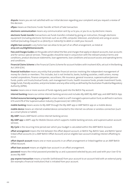**dispute** means you are not satisfied with our initial decision regarding your complaint and you request a review of the decision.

**eftpos** means an Electronic Funds Transfer at Point of Sale transaction.

**electronic communication** means any communication sent by us to you, or you to us, by electronic means.

**electronic funds transfer** transactions are funds transfers initiated by giving an instruction, through electronic equipment (including electronic terminals such as an ATM, computer, television, and phone) and using an access method (excluding cheque) to us (directly or indirectly) to debit or credit your Account.

**eligible loan account** is any home loan we allow to be part of an offset arrangement, as listed at **amp.com.au/eligibleloanaccounts**.

Fees and Charges Guides are the guides which detail the fees and charges that apply on deposit accounts, loan accounts and for various special services. These guides should be read in conjunction with the relevant product terms and conditions, product disclosure statements, loan agreements, loan conditions and account access and operating terms and conditions.

**Financial Claims Scheme** is the Financial Claims Scheme for account holderswith insolvent ADIs, set outin the Banking Act 1959 (Cth).

**financial institution** means any entity that provides financial services involving the independent management of money for clients or members. This includes, but is not limited to, banks, building societies, credit unions, money market corporations, finance companies, securitisers, life insurance, general insurance, superannuation/pension funds, public unit trusts/mutual funds, cash management trusts, health insurance funds, private investment funds, hedge funds, friendly societies, and prime brokers and any other entity as defined by the Australian Prudential Regulatory Authority (APRA).

**income** means one or more sources of funds regularly paid into the Bett3r Pay account.

**internet banking** means our online internet banking service andincludes My AMP, My AMP app, and AMP Bett3r App.

limited recourse borrowing arrangement is a loan made to a self-managed superannuation fund, as defined in sections 67A and 67B of the Superannuation Industry (Supervision) Act 1993 (Cth).

**mobile banking** means access to My AMP through the My AMP app or AMP Bett3r app on a mobile device.

**mobile device** means an internet enabled device connected to the internet via cellular or wireless connection (such as a smart phone or tablet).

**My AMP** means AMP Bank's online internet banking service.

**My AMP app** is AMP's app for Mobile Devices which supports mobile banking services, and superannuation account services.

**My Cycle** is the recurring time period over which your budget is calculated within the AMP Bett3r Account.

**offset arrangement** means the link between the offset deposit account, or Bett3r Pay, Bett3r Save, and Bett3r Spend linked offset accounts (in a AMP Bett3r Offset Account) and an eligible loan account enabling interest offsetting to occur.

**offset deposit account** means one or more accounts in an offset arrangement or linked together as an AMP Bett3r Offset Account.

**offset loan account** means an eligible loan account in an offset arrangement.

**password** means the initial password provided by us and a password selected by you and used with your User ID to access My AMP.

**pay anyone transaction** means a transfer (withdrawal) from your account to an account held with an external party (for example a financial institution) that is initiated from your account.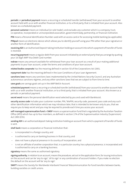**periodic** or **periodical payment** means a recurring or scheduled transfer (withdrawal) from your account to another account held with us or with another financial institution, or to a third party, that is initiated from your account. Also known as a scheduled payment.

**personal customer** means an individual (or sole trader), and excludes any customer which is a company, trust, co-operative, incorporated or unincorporated association, government body, partnership, or financial institution.

**PIN** means a Personal Identification Number used with an access card or for accessing mobile banking (as applicable).

**PINpad** means an electronicdevice which allows you to identify yourself using your PIN rather than your signature or another form of identification.

receiving ADI is an Authorised Deposit-taking Institution holding an account into which a payment of transfer of funds is received.

recurring payment means a regular debit from your account initiated by an external party that you arrange by quoting your 16-digit AMP Visa Debit Card number.

**redraw** means any amount available for withdrawal from your loan account as a result of your making additional payments to your loan account, under the terms and conditions of your loan account.

**related bodies corporate** has the meaning defined in section 50 of the Corporations Act 2001.

**repayment date** has the meaning defined in the Loan Conditions of your Loan Agreement.

**sanctions laws** means any sanctions laws implemented by the United Nations Security Council, and any Australian autonomous sanctions regimes, and any other sanctions laws that we are subject to from time to time.

**save goals** are savings goals set up in the AMP Bett3r Account.

**scheduled payment** means a recurring or scheduled transfer (withdrawal) from your account to another account held with us or with another financial institution, or to a third party, that is initiated from your account. Also known as a periodic or periodical payment.

**secret word** means the personal identification word selected by you and used with BankAssist.

**security access code** includes your customer number, PIN, TelePIN, security code, password, pass code and any such other identification information which we may introduce later, that is intended to be known only to you, that we require you to keep secret and you may be required to provide each time you access your account.

**self-managed superannuation fund** or **SMSF** means a superannuation fundthatis regulated by the Australian Taxation Office (ATO) which has up to four members, as defined in section 17A of the Superannuation Industry (Supervision) Act 1993 (Cth).

sending ADI is an authorised deposit-taking institution holding an account from which a payment of transfer of funds is sent.

**shell bank** means a corporation or financial institution that:

- is incorporated in a foreign country, and
- is authorised to carry on banking business in that country, and
- does not have a physical presence in its country of incorporation, and
- is not an affiliate of another corporation that, in a particular country, has a physical presence, is incorporatedand is authorised to carry on a banking business.

**signatory** means the same as authorised signatory.

**signing authority**, in relation to an account, means the procedure, set outin the application form,forissuing instructions on the account and can be 'any to sign', 'all to sign' or any combination of account holders. If you make no election the default on the account will be 'any to sign'.

**SWIFT** means the Society for Worldwide Interbank Financial Telecommunication for fund transfers between banks, building societies or credit unions.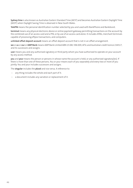**Sydney time** is also known as Australian Eastern Standard Time (AEST) and becomes Australian Eastern Daylight Time (AEDT) when Daylight Saving Time is observed in New South Wales.

**TelePIN** means the personal identification number selected by you and used with BankPhone and BankAssist.

**terminal** means any physical electronic device or online payment gateway permitting transactions on the account by the combined use of an access card and a PIN, or by use of an access card alone. It includes ATMs, merchant terminals capable of processing eftpos transactions, and computers.

**unlinked offset deposit account** means an offset deposit account that is not in an offset arrangement.

**we** or **us** or **our** or **AMP Bank** means AMP Bank Limited ABN 15 081 596 009, AFSL and Australian creditlicence 234517, and its successors and assigns.

**user** means you and any authorised signatory or third party whom you have authorised to operate on your account by any access method.

**you** and **your** means the person or persons in whose name the account is held, or any authorised signatory(ies). If there is more than one of these persons, You or your means each of you separately and every two or more of you jointly. You and your includes successors and assigns.

The **singular** includes the **plural** and vice versa. A reference to:

- any thing includes the whole and each part of it.
- a document includes any variation or replacement of it.